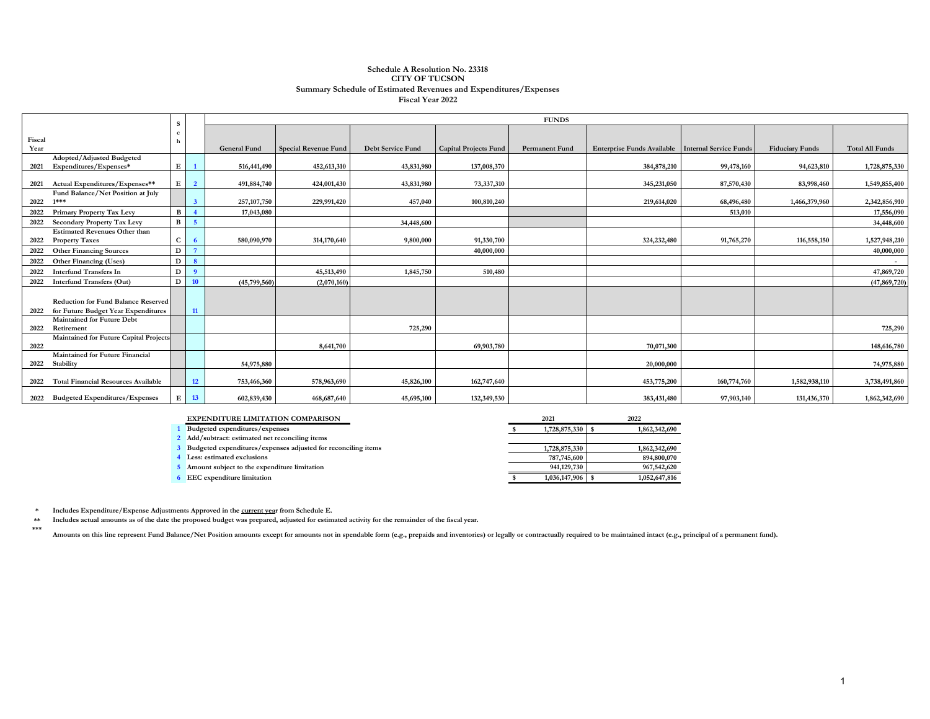#### **Schedule A Resolution No. 23318 CITY OF TUCSON Summary Schedule of Estimated Revenues and Expenditures/Expenses Fiscal Year 2022**

|        |                                                                                   |              |                | <b>FUNDS</b>        |                             |                          |                              |                       |                                                   |             |                        |                        |  |  |  |  |
|--------|-----------------------------------------------------------------------------------|--------------|----------------|---------------------|-----------------------------|--------------------------|------------------------------|-----------------------|---------------------------------------------------|-------------|------------------------|------------------------|--|--|--|--|
|        |                                                                                   |              |                |                     |                             |                          |                              |                       |                                                   |             |                        |                        |  |  |  |  |
| Fiscal |                                                                                   |              |                |                     |                             |                          |                              |                       |                                                   |             |                        |                        |  |  |  |  |
| Year   |                                                                                   |              |                | <b>General Fund</b> | <b>Special Revenue Fund</b> | <b>Debt Service Fund</b> | <b>Capital Projects Fund</b> | <b>Permanent Fund</b> | Enterprise Funds Available Internal Service Funds |             | <b>Fiduciary Funds</b> | <b>Total All Funds</b> |  |  |  |  |
|        | Adopted/Adjusted Budgeted                                                         |              |                |                     |                             |                          |                              |                       |                                                   |             |                        |                        |  |  |  |  |
| 2021   | Expenditures/Expenses*                                                            | E            |                | 516,441,490         | 452,613,310                 | 43,831,980               | 137,008,370                  |                       | 384,878,210                                       | 99,478,160  | 94,623,810             | 1,728,875,330          |  |  |  |  |
| 2021   | Actual Expenditures/Expenses**                                                    | E            | $\overline{2}$ | 491,884,740         | 424,001,430                 | 43,831,980               | 73,337,310                   |                       | 345,231,050                                       | 87,570,430  | 83,998,460             | 1,549,855,400          |  |  |  |  |
|        | Fund Balance/Net Position at July                                                 |              |                |                     |                             |                          |                              |                       |                                                   |             |                        |                        |  |  |  |  |
| 2022   | $1***$                                                                            |              |                | 257, 107, 750       | 229,991,420                 | 457,040                  | 100,810,240                  |                       | 219,614,020                                       | 68,496,480  | 1,466,379,960          | 2,342,856,910          |  |  |  |  |
| 2022   | <b>Primary Property Tax Levy</b>                                                  | $\mathbf{B}$ |                | 17,043,080          |                             |                          |                              |                       |                                                   | 513,010     |                        | 17,556,090             |  |  |  |  |
| 2022   | <b>Secondary Property Tax Levy</b>                                                | $\mathbf{B}$ | -5             |                     |                             | 34,448,600               |                              |                       |                                                   |             |                        | 34,448,600             |  |  |  |  |
|        | <b>Estimated Revenues Other than</b>                                              |              |                |                     |                             |                          |                              |                       |                                                   |             |                        |                        |  |  |  |  |
| 2022   | <b>Property Taxes</b>                                                             | $\mathbf{C}$ | - 6            | 580,090,970         | 314,170,640                 | 9,800,000                | 91,330,700                   |                       | 324,232,480                                       | 91,765,270  | 116,558,150            | 1,527,948,210          |  |  |  |  |
| 2022   | <b>Other Financing Sources</b>                                                    | $\mathbf{D}$ |                |                     |                             |                          | 40,000,000                   |                       |                                                   |             |                        | 40,000,000             |  |  |  |  |
| 2022   | Other Financing (Uses)                                                            | D            |                |                     |                             |                          |                              |                       |                                                   |             |                        | $\sim$                 |  |  |  |  |
| 2022   | <b>Interfund Transfers In</b>                                                     | D            | $\overline{9}$ |                     | 45,513,490                  | 1,845,750                | 510,480                      |                       |                                                   |             |                        | 47,869,720             |  |  |  |  |
| 2022   | <b>Interfund Transfers (Out)</b>                                                  | D            | 10             | (45,799,560)        | (2,070,160)                 |                          |                              |                       |                                                   |             |                        | (47, 869, 720)         |  |  |  |  |
| 2022   | <b>Reduction for Fund Balance Reserved</b><br>for Future Budget Year Expenditures |              | 11             |                     |                             |                          |                              |                       |                                                   |             |                        |                        |  |  |  |  |
| 2022   | <b>Maintained for Future Debt</b><br>Retirement                                   |              |                |                     |                             | 725,290                  |                              |                       |                                                   |             |                        | 725,290                |  |  |  |  |
| 2022   | Maintained for Future Capital Projects                                            |              |                |                     | 8,641,700                   |                          | 69,903,780                   |                       | 70,071,300                                        |             |                        | 148,616,780            |  |  |  |  |
| 2022   | Maintained for Future Financial<br>Stability                                      |              |                | 54,975,880          |                             |                          |                              |                       | 20,000,000                                        |             |                        | 74,975,880             |  |  |  |  |
| 2022   | <b>Total Financial Resources Available</b>                                        |              | 12             | 753,466,360         | 578,963,690                 | 45,826,100               | 162,747,640                  |                       | 453,775,200                                       | 160,774,760 | 1,582,938,110          | 3,738,491,860          |  |  |  |  |
|        | 2022 Budgeted Expenditures/Expenses                                               | E            | 13             | 602,839,430         | 468,687,640                 | 45,695,100               | 132,349,530                  |                       | 383,431,480                                       | 97,903,140  | 131,436,370            | 1,862,342,690          |  |  |  |  |

| <b>EXPENDITURE LIMITATION COMPARISON</b>                      | 2021             | 2022          |
|---------------------------------------------------------------|------------------|---------------|
| Budgeted expenditures/expenses                                | 1,728,875,330    | 1,862,342,690 |
| 2 Add/subtract: estimated net reconciling items               |                  |               |
| Budgeted expenditures/expenses adjusted for reconciling items | 1,728,875,330    | 1,862,342,690 |
| Less: estimated exclusions                                    | 787,745,600      | 894,800,070   |
| Amount subject to the expenditure limitation                  | 941,129,730      | 967,542,620   |
| <b>EEC</b> expenditure limitation                             | 1,036,147,906 \$ | 1,052,647,816 |

**\* Includes Expenditure/Expense Adjustments Approved in the current year from Schedule E.** 

**\*\* Includes actual amounts as of the date the proposed budget was prepared, adjusted for estimated activity for the remainder of the fiscal year.**

**\*\*\*** Amounts on this line represent Fund Balance/Net Position amounts except for amounts not in spendable form (e.g., prepaids and inventories) or legally or contractually required to be maintained intact (e.g., principal of a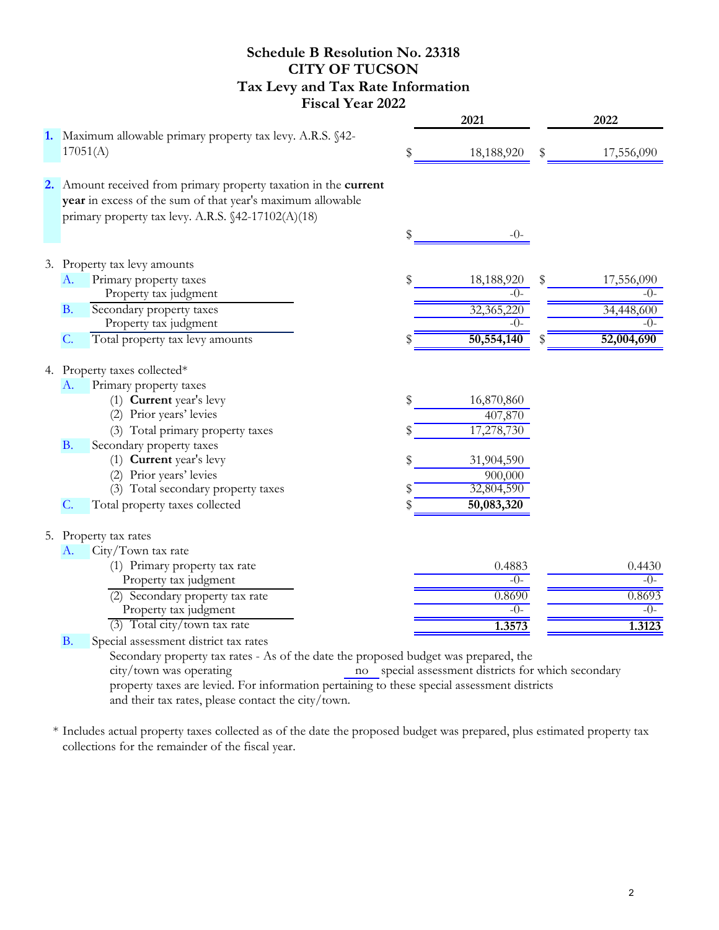## **Schedule B Resolution No. 23318 CITY OF TUCSON Tax Levy and Tax Rate Information Fiscal Year 2022**

|                                                                                                                                                                                      | 2021             |    | 2022       |
|--------------------------------------------------------------------------------------------------------------------------------------------------------------------------------------|------------------|----|------------|
| 1. Maximum allowable primary property tax levy. A.R.S. §42-<br>17051(A)                                                                                                              | \$<br>18,188,920 | \$ | 17,556,090 |
| 2. Amount received from primary property taxation in the current<br>year in excess of the sum of that year's maximum allowable<br>primary property tax levy. A.R.S. §42-17102(A)(18) |                  |    |            |
|                                                                                                                                                                                      | \$<br>$-0-$      |    |            |
| 3. Property tax levy amounts                                                                                                                                                         |                  |    |            |
| Primary property taxes<br>A.                                                                                                                                                         | \$<br>18,188,920 | \$ | 17,556,090 |
| Property tax judgment                                                                                                                                                                | $-()$ -          |    | $-()$ -    |
| Secondary property taxes<br><b>B.</b>                                                                                                                                                | 32,365,220       |    | 34,448,600 |
| Property tax judgment                                                                                                                                                                | $-()$            |    | $-()$      |
| Total property tax levy amounts<br>C.                                                                                                                                                | 50,554,140       | Ж  | 52,004,690 |
|                                                                                                                                                                                      |                  |    |            |
| 4. Property taxes collected*                                                                                                                                                         |                  |    |            |
| Primary property taxes<br>A.<br>(1) Current year's levy                                                                                                                              |                  |    |            |
| (2) Prior years' levies                                                                                                                                                              | \$<br>16,870,860 |    |            |
|                                                                                                                                                                                      | 407,870          |    |            |
| (3) Total primary property taxes                                                                                                                                                     | 17,278,730       |    |            |
| Secondary property taxes<br><b>B.</b>                                                                                                                                                |                  |    |            |
| (1) Current year's levy                                                                                                                                                              | \$<br>31,904,590 |    |            |
| (2) Prior years' levies                                                                                                                                                              | 900,000          |    |            |
| (3) Total secondary property taxes                                                                                                                                                   | 32,804,590       |    |            |
| Total property taxes collected<br>$C$ .                                                                                                                                              | \$<br>50,083,320 |    |            |
| 5. Property tax rates                                                                                                                                                                |                  |    |            |
| A.<br>City/Town tax rate                                                                                                                                                             |                  |    |            |
| (1) Primary property tax rate                                                                                                                                                        | 0.4883           |    | 0.4430     |
| Property tax judgment                                                                                                                                                                | $-()$            |    | $-()$      |
| (2) Secondary property tax rate                                                                                                                                                      | 0.8690           |    | 0.8693     |
| Property tax judgment                                                                                                                                                                | $-()$            |    | $-()$      |
| $(3)$ Total city/town tax rate                                                                                                                                                       | 1.3573           |    | 1.3123     |
| Special assessment district tax rates<br><b>B.</b>                                                                                                                                   |                  |    |            |
| Secondary property tax rates - As of the date the proposed budget was prepared, the                                                                                                  |                  |    |            |
| the frame and concentration and the contract of the concentration of the frame frame in the concentration of the                                                                     |                  |    |            |

no special assessment districts for which secondary property taxes are levied. For information pertaining to these special assessment districts and their tax rates, please contact the city/town. city/town was operating

\* Includes actual property taxes collected as of the date the proposed budget was prepared, plus estimated property tax collections for the remainder of the fiscal year.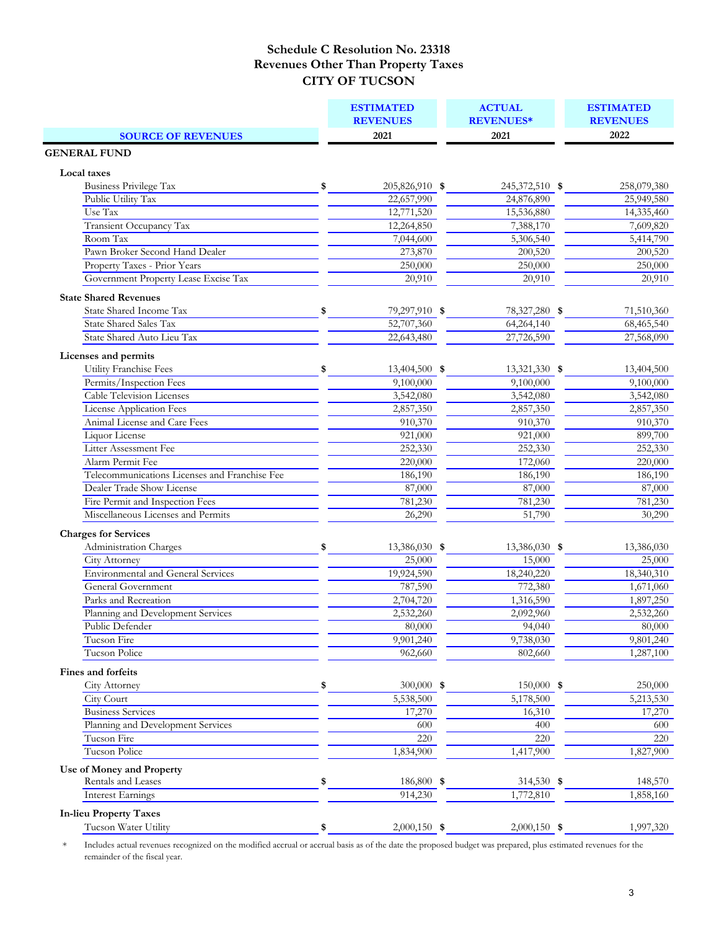| <b>SOURCE OF REVENUES</b><br><b>GENERAL FUND</b> |                      | <b>REVENUES*</b> |  | <b>ESTIMATED</b><br><b>REVENUES</b> |  |
|--------------------------------------------------|----------------------|------------------|--|-------------------------------------|--|
|                                                  | <b>REVENUES</b>      |                  |  | 2022                                |  |
|                                                  | 2021                 | 2021             |  |                                     |  |
|                                                  |                      |                  |  |                                     |  |
| Local taxes                                      |                      |                  |  |                                     |  |
| <b>Business Privilege Tax</b>                    | \$<br>205,826,910 \$ | 245,372,510 \$   |  | 258,079,380                         |  |
| Public Utility Tax                               | 22,657,990           | 24,876,890       |  | 25,949,580                          |  |
| Use Tax                                          | 12,771,520           | 15,536,880       |  | 14,335,460                          |  |
| Transient Occupancy Tax                          | 12,264,850           | 7,388,170        |  | 7,609,820                           |  |
| Room Tax                                         | 7,044,600            | 5,306,540        |  | 5,414,790                           |  |
| Pawn Broker Second Hand Dealer                   | 273,870              | 200,520          |  | 200,520                             |  |
| Property Taxes - Prior Years                     | 250,000              | 250,000          |  | 250,000                             |  |
| Government Property Lease Excise Tax             | 20,910               | 20,910           |  | 20,910                              |  |
| <b>State Shared Revenues</b>                     |                      |                  |  |                                     |  |
| State Shared Income Tax                          | \$<br>79,297,910 \$  | 78,327,280 \$    |  | 71,510,360                          |  |
| <b>State Shared Sales Tax</b>                    | 52,707,360           | 64,264,140       |  | 68,465,540                          |  |
| State Shared Auto Lieu Tax                       | 22,643,480           | 27,726,590       |  | 27,568,090                          |  |
|                                                  |                      |                  |  |                                     |  |
| Licenses and permits                             |                      |                  |  |                                     |  |
| Utility Franchise Fees                           | \$<br>13,404,500 \$  | 13,321,330 \$    |  | 13,404,500                          |  |
| Permits/Inspection Fees                          | 9,100,000            | 9,100,000        |  | 9,100,000                           |  |
| <b>Cable Television Licenses</b>                 | 3,542,080            | 3,542,080        |  | 3,542,080                           |  |
| <b>License Application Fees</b>                  | 2,857,350            | 2,857,350        |  | 2,857,350                           |  |
| Animal License and Care Fees                     | 910,370              | 910,370          |  | 910,370                             |  |
| Liquor License                                   | 921,000              | 921,000          |  | 899,700                             |  |
| Litter Assessment Fee                            | 252,330              | 252,330          |  | 252,330                             |  |
| Alarm Permit Fee                                 | 220,000              | 172,060          |  | 220,000                             |  |
| Telecommunications Licenses and Franchise Fee    | 186,190              | 186,190          |  | 186,190                             |  |
| Dealer Trade Show License                        | 87,000               | 87,000           |  | 87,000                              |  |
| Fire Permit and Inspection Fees                  | 781,230              | 781,230          |  | 781,230                             |  |
| Miscellaneous Licenses and Permits               | 26,290               | 51,790           |  | 30,290                              |  |
| <b>Charges for Services</b>                      |                      |                  |  |                                     |  |
| Administration Charges                           | \$<br>13,386,030 \$  | 13,386,030 \$    |  | 13,386,030                          |  |
| <b>City Attorney</b>                             | 25,000               | 15,000           |  | 25,000                              |  |
| <b>Environmental and General Services</b>        | 19,924,590           | 18,240,220       |  | 18,340,310                          |  |
| General Government                               | 787,590              | 772,380          |  | 1,671,060                           |  |
| Parks and Recreation                             | 2,704,720            | 1,316,590        |  | 1,897,250                           |  |
| Planning and Development Services                | 2,532,260            | 2,092,960        |  | 2,532,260                           |  |
| Public Defender                                  | 80,000               | 94,040           |  | 80,000                              |  |
| Tucson Fire                                      | 9,901,240            | 9,738,030        |  | 9,801,240                           |  |
| Tucson Police                                    | 962,660              | 802,660          |  | 1,287,100                           |  |
| Fines and forfeits                               |                      |                  |  |                                     |  |
|                                                  | \$<br>$300,000$ \$   | $150,000$ \$     |  | 250,000                             |  |
| City Attorney<br>City Court                      | 5,538,500            | 5,178,500        |  | 5,213,530                           |  |
| <b>Business Services</b>                         | 17,270               | 16,310           |  |                                     |  |
| Planning and Development Services                | 600                  | 400              |  | 17,270<br>600                       |  |
| Tucson Fire                                      | 220                  | 220              |  | 220                                 |  |
| <b>Tucson Police</b>                             | 1,834,900            |                  |  | 1,827,900                           |  |
|                                                  |                      | 1,417,900        |  |                                     |  |
| Use of Money and Property                        |                      |                  |  |                                     |  |
| Rentals and Leases                               | \$<br>186,800 \$     | 314,530 \$       |  | 148,570                             |  |
| <b>Interest Earnings</b>                         | 914,230              | 1,772,810        |  | 1,858,160                           |  |
| <b>In-lieu Property Taxes</b>                    |                      |                  |  |                                     |  |
| Tucson Water Utility                             | \$<br>$2,000,150$ \$ | $2,000,150$ \$   |  | 1,997,320                           |  |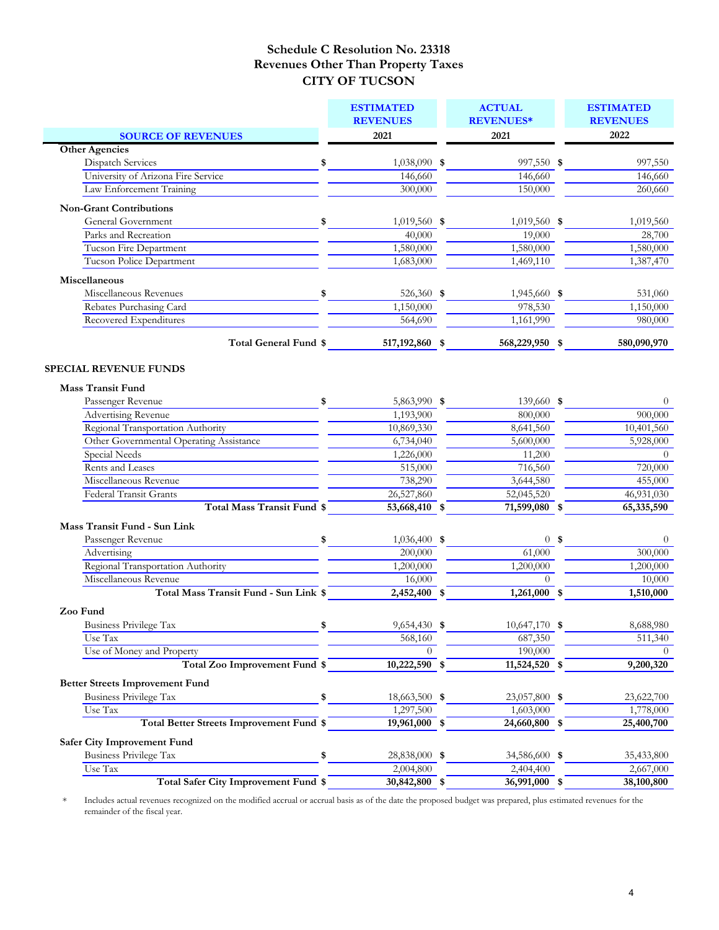|                                                 | <b>ESTIMATED</b> | <b>ACTUAL</b>    | <b>ESTIMATED</b> |
|-------------------------------------------------|------------------|------------------|------------------|
|                                                 | <b>REVENUES</b>  | <b>REVENUES*</b> | <b>REVENUES</b>  |
| <b>SOURCE OF REVENUES</b>                       | 2021             | 2021             | 2022             |
| <b>Other Agencies</b>                           |                  |                  |                  |
| Dispatch Services<br>\$                         | 1,038,090 \$     | 997,550 \$       | 997,550          |
| University of Arizona Fire Service              | 146,660          | 146,660          | 146,660          |
| Law Enforcement Training                        | 300,000          | 150,000          | 260,660          |
| <b>Non-Grant Contributions</b>                  |                  |                  |                  |
| General Government<br>\$                        | $1,019,560$ \$   | $1,019,560$ \$   | 1,019,560        |
| Parks and Recreation                            | 40,000           | 19,000           | 28,700           |
| Tucson Fire Department                          | 1,580,000        | 1,580,000        | 1,580,000        |
| Tucson Police Department                        | 1,683,000        | 1,469,110        | 1,387,470        |
| Miscellaneous                                   |                  |                  |                  |
| Miscellaneous Revenues<br>\$                    | 526,360 \$       | 1,945,660 \$     | 531,060          |
| Rebates Purchasing Card                         | 1,150,000        | 978,530          | 1,150,000        |
| Recovered Expenditures                          | 564,690          | 1,161,990        | 980,000          |
| Total General Fund \$                           | 517, 192, 860 \$ | 568,229,950 \$   | 580,090,970      |
| <b>SPECIAL REVENUE FUNDS</b>                    |                  |                  |                  |
| <b>Mass Transit Fund</b>                        |                  |                  |                  |
| Passenger Revenue<br>\$                         | 5,863,990 \$     | 139,660 \$       | $\theta$         |
| <b>Advertising Revenue</b>                      | 1,193,900        | 800,000          | 900,000          |
| Regional Transportation Authority               | 10,869,330       | 8,641,560        | 10,401,560       |
| Other Governmental Operating Assistance         | 6,734,040        | 5,600,000        | 5,928,000        |
| <b>Special Needs</b>                            | 1,226,000        | 11,200           | $\Omega$         |
| Rents and Leases                                | 515,000          | 716,560          | 720,000          |
| Miscellaneous Revenue                           | 738,290          | 3,644,580        | 455,000          |
| Federal Transit Grants                          | 26,527,860       | 52,045,520       | 46,931,030       |
| <b>Total Mass Transit Fund \$</b>               | 53,668,410 \$    | 71,599,080 \$    | 65,335,590       |
| Mass Transit Fund - Sun Link                    |                  |                  |                  |
| Passenger Revenue<br>\$                         | 1,036,400 \$     | 0 <sup>5</sup>   | $\theta$         |
| Advertising                                     | 200,000          | 61,000           | 300,000          |
| Regional Transportation Authority               | 1,200,000        | 1,200,000        | 1,200,000        |
| Miscellaneous Revenue                           | 16,000           | $\Omega$         | 10,000           |
| Total Mass Transit Fund - Sun Link \$           | $2,452,400$ \$   | $1,261,000$ \$   | 1,510,000        |
| Zoo Fund                                        |                  |                  |                  |
| <b>Business Privilege Tax</b><br>\$             | 9,654,430 \$     | 10,647,170 \$    | 8,688,980        |
| Use Tax                                         | 568,160          | 687,350          | 511,340          |
| Use of Money and Property                       | 0                | 190,000          | $\theta$         |
| Total Zoo Improvement Fund \$                   | 10,222,590 \$    | 11,524,520 \$    | 9,200,320        |
| <b>Better Streets Improvement Fund</b>          |                  |                  |                  |
| <b>Business Privilege Tax</b><br>\$             | 18,663,500 \$    | 23,057,800 \$    | 23,622,700       |
| Use Tax                                         | 1,297,500        | 1,603,000        | 1,778,000        |
| <b>Total Better Streets Improvement Fund \$</b> | $19,961,000$ \$  | 24,660,800 \$    | 25,400,700       |
| <b>Safer City Improvement Fund</b>              |                  |                  |                  |
| <b>Business Privilege Tax</b><br>\$             | 28,838,000 \$    | 34,586,600 \$    | 35,433,800       |
| Use Tax                                         | 2,004,800        | 2,404,400        | 2,667,000        |
| Total Safer City Improvement Fund \$            | 30,842,800 \$    | 36,991,000 \$    | 38,100,800       |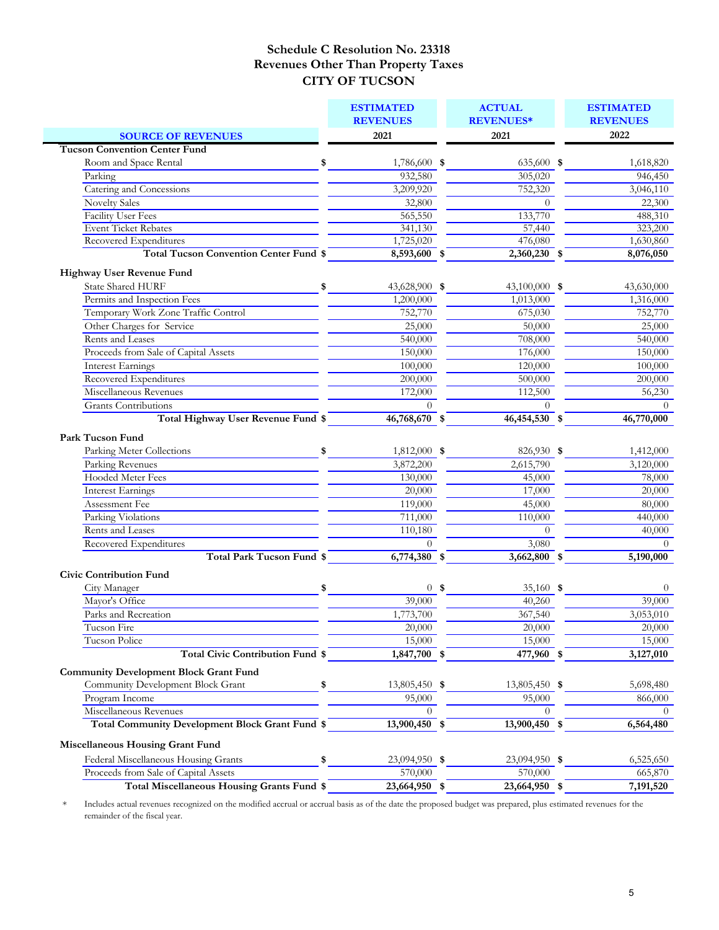|                                                                         | <b>ESTIMATED</b><br><b>REVENUES</b> | <b>ACTUAL</b><br><b>REVENUES*</b> | <b>ESTIMATED</b><br><b>REVENUES</b> |
|-------------------------------------------------------------------------|-------------------------------------|-----------------------------------|-------------------------------------|
|                                                                         |                                     |                                   | 2022                                |
| <b>SOURCE OF REVENUES</b>                                               | 2021                                | 2021                              |                                     |
| <b>Tucson Convention Center Fund</b>                                    |                                     |                                   |                                     |
| Room and Space Rental<br>\$<br>Parking                                  | 1,786,600 \$<br>932,580             | 635,600 \$<br>305,020             | 1,618,820                           |
| Catering and Concessions                                                |                                     |                                   | 946,450                             |
|                                                                         | 3,209,920                           | 752,320<br>$\Omega$               | 3,046,110                           |
| <b>Novelty Sales</b>                                                    | 32,800                              |                                   | 22,300                              |
| Facility User Fees                                                      | 565,550                             | 133,770                           | 488,310                             |
| <b>Event Ticket Rebates</b>                                             | 341,130                             | 57,440                            | 323,200                             |
| Recovered Expenditures<br><b>Total Tucson Convention Center Fund \$</b> | 1,725,020<br>$8,593,600$ \$         | 476,080<br>$2,360,230$ \$         | 1,630,860<br>8,076,050              |
|                                                                         |                                     |                                   |                                     |
| <b>Highway User Revenue Fund</b>                                        |                                     |                                   |                                     |
| State Shared HURF<br>\$                                                 | 43,628,900 \$                       | 43,100,000 \$                     | 43,630,000                          |
| Permits and Inspection Fees                                             | 1,200,000                           | 1,013,000                         | 1,316,000                           |
| Temporary Work Zone Traffic Control                                     | 752,770                             | 675,030                           | 752,770                             |
| Other Charges for Service                                               | 25,000                              | $\overline{50,000}$               | 25,000                              |
| Rents and Leases                                                        | 540,000                             | 708,000                           | 540,000                             |
| Proceeds from Sale of Capital Assets                                    | 150,000                             | 176,000                           | 150,000                             |
| <b>Interest Earnings</b>                                                | 100,000                             | 120,000                           | 100,000                             |
| Recovered Expenditures                                                  | 200,000                             | 500,000                           | 200,000                             |
| Miscellaneous Revenues                                                  | 172,000                             | 112,500                           | 56,230                              |
| <b>Grants</b> Contributions                                             |                                     | $\Omega$                          | $\Omega$                            |
| Total Highway User Revenue Fund \$                                      | $46,768,670$ \$                     | $46,454,530$ \$                   | 46,770,000                          |
|                                                                         |                                     |                                   |                                     |
| Park Tucson Fund                                                        |                                     |                                   |                                     |
| Parking Meter Collections<br>\$                                         | 1,812,000 \$                        | 826,930 \$                        | 1,412,000                           |
| Parking Revenues                                                        | 3,872,200                           | 2,615,790                         | 3,120,000                           |
| Hooded Meter Fees                                                       | 130,000                             | 45,000                            | 78,000                              |
| Interest Earnings                                                       | 20,000                              | 17,000                            | 20,000                              |
| Assessment Fee                                                          | 119,000                             | 45,000                            | 80,000                              |
| Parking Violations                                                      | 711,000                             | 110,000                           | 440,000                             |
| Rents and Leases                                                        | 110,180                             | $\Omega$                          | 40,000                              |
| Recovered Expenditures                                                  | $\Omega$                            | 3,080                             | $\Omega$                            |
| <b>Total Park Tucson Fund \$</b>                                        | $6,774,380$ \$                      | $3,662,800$ \$                    | 5,190,000                           |
| <b>Civic Contribution Fund</b>                                          |                                     |                                   |                                     |
| City Manager<br>\$                                                      | 0 <sup>5</sup>                      | 35,160 $\frac{1}{2}$              | $\Omega$                            |
| Mayor's Office                                                          | 39,000                              | 40,260                            | 39,000                              |
| Parks and Recreation                                                    | 1,773,700                           | 367,540                           | 3,053,010                           |
| Tucson Fire                                                             | 20,000                              | 20,000                            | 20,000                              |
| Tucson Police                                                           | 15,000                              | 15,000                            | 15,000                              |
| Total Civic Contribution Fund \$                                        | 1,847,700 \$                        | 477,960 \$                        | 3,127,010                           |
|                                                                         |                                     |                                   |                                     |
| <b>Community Development Block Grant Fund</b>                           |                                     |                                   |                                     |
| Community Development Block Grant<br>\$                                 | 13,805,450 \$                       | 13,805,450 \$                     | 5,698,480                           |
| Program Income                                                          | 95,000                              | 95,000                            | 866,000                             |
| Miscellaneous Revenues                                                  | $\theta$                            | $\overline{0}$                    | $\theta$                            |
| Total Community Development Block Grant Fund \$                         | 13,900,450 \$                       | 13,900,450 \$                     | 6,564,480                           |
| <b>Miscellaneous Housing Grant Fund</b>                                 |                                     |                                   |                                     |
| Federal Miscellaneous Housing Grants<br>\$                              | 23,094,950 \$                       | 23,094,950 \$                     | 6,525,650                           |
| Proceeds from Sale of Capital Assets                                    | 570,000                             | 570,000                           | 665,870                             |
| Total Miscellaneous Housing Grants Fund \$                              | 23,664,950 \$                       | 23,664,950 \$                     | 7,191,520                           |
|                                                                         |                                     |                                   |                                     |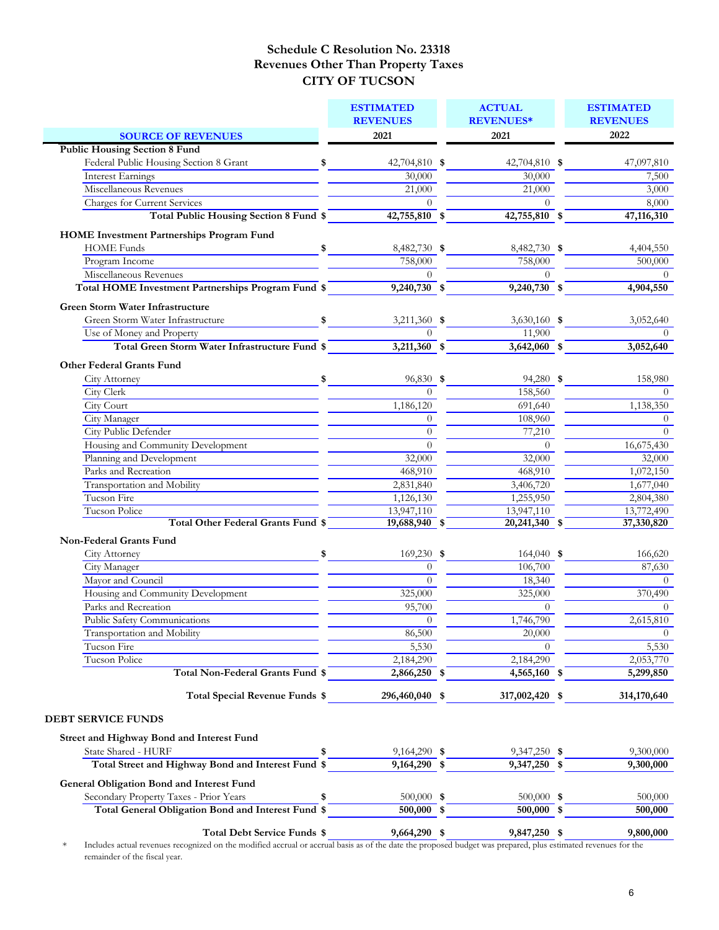|                                                | <b>ESTIMATED</b>                                                                               |                                                                                                                                                                                                                                                                                                                                                                                                                                                                                                                                                                                                                                                                 | <b>ACTUAL</b>                                                                                                                                                                              |                                                                                                                                                                                                                                     | <b>ESTIMATED</b><br><b>REVENUES</b>                                                                                                                              |
|------------------------------------------------|------------------------------------------------------------------------------------------------|-----------------------------------------------------------------------------------------------------------------------------------------------------------------------------------------------------------------------------------------------------------------------------------------------------------------------------------------------------------------------------------------------------------------------------------------------------------------------------------------------------------------------------------------------------------------------------------------------------------------------------------------------------------------|--------------------------------------------------------------------------------------------------------------------------------------------------------------------------------------------|-------------------------------------------------------------------------------------------------------------------------------------------------------------------------------------------------------------------------------------|------------------------------------------------------------------------------------------------------------------------------------------------------------------|
|                                                |                                                                                                |                                                                                                                                                                                                                                                                                                                                                                                                                                                                                                                                                                                                                                                                 |                                                                                                                                                                                            |                                                                                                                                                                                                                                     | 2022                                                                                                                                                             |
|                                                |                                                                                                |                                                                                                                                                                                                                                                                                                                                                                                                                                                                                                                                                                                                                                                                 |                                                                                                                                                                                            |                                                                                                                                                                                                                                     |                                                                                                                                                                  |
|                                                |                                                                                                |                                                                                                                                                                                                                                                                                                                                                                                                                                                                                                                                                                                                                                                                 |                                                                                                                                                                                            |                                                                                                                                                                                                                                     | 47,097,810                                                                                                                                                       |
|                                                |                                                                                                |                                                                                                                                                                                                                                                                                                                                                                                                                                                                                                                                                                                                                                                                 |                                                                                                                                                                                            |                                                                                                                                                                                                                                     | 7,500                                                                                                                                                            |
|                                                |                                                                                                |                                                                                                                                                                                                                                                                                                                                                                                                                                                                                                                                                                                                                                                                 |                                                                                                                                                                                            |                                                                                                                                                                                                                                     | 3,000                                                                                                                                                            |
|                                                |                                                                                                |                                                                                                                                                                                                                                                                                                                                                                                                                                                                                                                                                                                                                                                                 |                                                                                                                                                                                            |                                                                                                                                                                                                                                     |                                                                                                                                                                  |
|                                                |                                                                                                |                                                                                                                                                                                                                                                                                                                                                                                                                                                                                                                                                                                                                                                                 |                                                                                                                                                                                            |                                                                                                                                                                                                                                     | 8,000<br>47,116,310                                                                                                                                              |
|                                                |                                                                                                |                                                                                                                                                                                                                                                                                                                                                                                                                                                                                                                                                                                                                                                                 |                                                                                                                                                                                            |                                                                                                                                                                                                                                     |                                                                                                                                                                  |
|                                                |                                                                                                |                                                                                                                                                                                                                                                                                                                                                                                                                                                                                                                                                                                                                                                                 |                                                                                                                                                                                            |                                                                                                                                                                                                                                     |                                                                                                                                                                  |
|                                                |                                                                                                |                                                                                                                                                                                                                                                                                                                                                                                                                                                                                                                                                                                                                                                                 |                                                                                                                                                                                            |                                                                                                                                                                                                                                     | 4,404,550                                                                                                                                                        |
|                                                | 758,000                                                                                        |                                                                                                                                                                                                                                                                                                                                                                                                                                                                                                                                                                                                                                                                 | 758,000                                                                                                                                                                                    |                                                                                                                                                                                                                                     | 500,000                                                                                                                                                          |
|                                                |                                                                                                |                                                                                                                                                                                                                                                                                                                                                                                                                                                                                                                                                                                                                                                                 | $\Omega$                                                                                                                                                                                   |                                                                                                                                                                                                                                     | $\Omega$                                                                                                                                                         |
|                                                |                                                                                                |                                                                                                                                                                                                                                                                                                                                                                                                                                                                                                                                                                                                                                                                 |                                                                                                                                                                                            |                                                                                                                                                                                                                                     | 4,904,550                                                                                                                                                        |
|                                                |                                                                                                |                                                                                                                                                                                                                                                                                                                                                                                                                                                                                                                                                                                                                                                                 |                                                                                                                                                                                            |                                                                                                                                                                                                                                     |                                                                                                                                                                  |
|                                                |                                                                                                |                                                                                                                                                                                                                                                                                                                                                                                                                                                                                                                                                                                                                                                                 |                                                                                                                                                                                            |                                                                                                                                                                                                                                     | 3,052,640                                                                                                                                                        |
|                                                | $\Omega$                                                                                       |                                                                                                                                                                                                                                                                                                                                                                                                                                                                                                                                                                                                                                                                 |                                                                                                                                                                                            |                                                                                                                                                                                                                                     | $\Omega$                                                                                                                                                         |
| Total Green Storm Water Infrastructure Fund \$ |                                                                                                |                                                                                                                                                                                                                                                                                                                                                                                                                                                                                                                                                                                                                                                                 |                                                                                                                                                                                            |                                                                                                                                                                                                                                     | 3,052,640                                                                                                                                                        |
|                                                |                                                                                                |                                                                                                                                                                                                                                                                                                                                                                                                                                                                                                                                                                                                                                                                 |                                                                                                                                                                                            |                                                                                                                                                                                                                                     |                                                                                                                                                                  |
|                                                |                                                                                                |                                                                                                                                                                                                                                                                                                                                                                                                                                                                                                                                                                                                                                                                 |                                                                                                                                                                                            |                                                                                                                                                                                                                                     |                                                                                                                                                                  |
|                                                |                                                                                                |                                                                                                                                                                                                                                                                                                                                                                                                                                                                                                                                                                                                                                                                 |                                                                                                                                                                                            |                                                                                                                                                                                                                                     | 158,980                                                                                                                                                          |
|                                                |                                                                                                |                                                                                                                                                                                                                                                                                                                                                                                                                                                                                                                                                                                                                                                                 |                                                                                                                                                                                            |                                                                                                                                                                                                                                     | $\Omega$                                                                                                                                                         |
|                                                |                                                                                                |                                                                                                                                                                                                                                                                                                                                                                                                                                                                                                                                                                                                                                                                 |                                                                                                                                                                                            |                                                                                                                                                                                                                                     | 1,138,350<br>$\theta$                                                                                                                                            |
|                                                |                                                                                                |                                                                                                                                                                                                                                                                                                                                                                                                                                                                                                                                                                                                                                                                 |                                                                                                                                                                                            |                                                                                                                                                                                                                                     | $\theta$                                                                                                                                                         |
|                                                |                                                                                                |                                                                                                                                                                                                                                                                                                                                                                                                                                                                                                                                                                                                                                                                 |                                                                                                                                                                                            |                                                                                                                                                                                                                                     |                                                                                                                                                                  |
|                                                |                                                                                                |                                                                                                                                                                                                                                                                                                                                                                                                                                                                                                                                                                                                                                                                 |                                                                                                                                                                                            |                                                                                                                                                                                                                                     | 16,675,430                                                                                                                                                       |
|                                                |                                                                                                |                                                                                                                                                                                                                                                                                                                                                                                                                                                                                                                                                                                                                                                                 |                                                                                                                                                                                            |                                                                                                                                                                                                                                     | 32,000                                                                                                                                                           |
|                                                |                                                                                                |                                                                                                                                                                                                                                                                                                                                                                                                                                                                                                                                                                                                                                                                 |                                                                                                                                                                                            |                                                                                                                                                                                                                                     | 1,072,150                                                                                                                                                        |
|                                                |                                                                                                |                                                                                                                                                                                                                                                                                                                                                                                                                                                                                                                                                                                                                                                                 |                                                                                                                                                                                            |                                                                                                                                                                                                                                     | 1,677,040                                                                                                                                                        |
|                                                |                                                                                                |                                                                                                                                                                                                                                                                                                                                                                                                                                                                                                                                                                                                                                                                 |                                                                                                                                                                                            |                                                                                                                                                                                                                                     | 2,804,380                                                                                                                                                        |
|                                                |                                                                                                |                                                                                                                                                                                                                                                                                                                                                                                                                                                                                                                                                                                                                                                                 |                                                                                                                                                                                            |                                                                                                                                                                                                                                     | 13,772,490                                                                                                                                                       |
|                                                |                                                                                                |                                                                                                                                                                                                                                                                                                                                                                                                                                                                                                                                                                                                                                                                 |                                                                                                                                                                                            |                                                                                                                                                                                                                                     | 37,330,820                                                                                                                                                       |
|                                                |                                                                                                |                                                                                                                                                                                                                                                                                                                                                                                                                                                                                                                                                                                                                                                                 |                                                                                                                                                                                            |                                                                                                                                                                                                                                     |                                                                                                                                                                  |
| \$                                             |                                                                                                |                                                                                                                                                                                                                                                                                                                                                                                                                                                                                                                                                                                                                                                                 |                                                                                                                                                                                            |                                                                                                                                                                                                                                     | 166,620                                                                                                                                                          |
|                                                | $\Omega$                                                                                       |                                                                                                                                                                                                                                                                                                                                                                                                                                                                                                                                                                                                                                                                 |                                                                                                                                                                                            |                                                                                                                                                                                                                                     | 87,630                                                                                                                                                           |
|                                                | $\Omega$                                                                                       |                                                                                                                                                                                                                                                                                                                                                                                                                                                                                                                                                                                                                                                                 |                                                                                                                                                                                            |                                                                                                                                                                                                                                     | $\Omega$                                                                                                                                                         |
|                                                | 325,000                                                                                        |                                                                                                                                                                                                                                                                                                                                                                                                                                                                                                                                                                                                                                                                 |                                                                                                                                                                                            |                                                                                                                                                                                                                                     | 370,490                                                                                                                                                          |
|                                                | 95,700                                                                                         |                                                                                                                                                                                                                                                                                                                                                                                                                                                                                                                                                                                                                                                                 | $\Omega$                                                                                                                                                                                   |                                                                                                                                                                                                                                     | $\Omega$                                                                                                                                                         |
|                                                | $\theta$                                                                                       |                                                                                                                                                                                                                                                                                                                                                                                                                                                                                                                                                                                                                                                                 |                                                                                                                                                                                            |                                                                                                                                                                                                                                     | 2,615,810                                                                                                                                                        |
|                                                | 86,500                                                                                         |                                                                                                                                                                                                                                                                                                                                                                                                                                                                                                                                                                                                                                                                 | 20,000                                                                                                                                                                                     |                                                                                                                                                                                                                                     | $\theta$                                                                                                                                                         |
|                                                | 5,530                                                                                          |                                                                                                                                                                                                                                                                                                                                                                                                                                                                                                                                                                                                                                                                 |                                                                                                                                                                                            |                                                                                                                                                                                                                                     | 5,530                                                                                                                                                            |
|                                                | 2,184,290                                                                                      |                                                                                                                                                                                                                                                                                                                                                                                                                                                                                                                                                                                                                                                                 | 2,184,290                                                                                                                                                                                  |                                                                                                                                                                                                                                     | 2,053,770                                                                                                                                                        |
| Total Non-Federal Grants Fund \$               |                                                                                                |                                                                                                                                                                                                                                                                                                                                                                                                                                                                                                                                                                                                                                                                 |                                                                                                                                                                                            |                                                                                                                                                                                                                                     | 5,299,850                                                                                                                                                        |
| Total Special Revenue Funds \$                 | 296,460,040 \$                                                                                 |                                                                                                                                                                                                                                                                                                                                                                                                                                                                                                                                                                                                                                                                 | 317,002,420 \$                                                                                                                                                                             |                                                                                                                                                                                                                                     | 314,170,640                                                                                                                                                      |
|                                                | \$<br>Total HOME Investment Partnerships Program Fund \$<br>Total Other Federal Grants Fund \$ | <b>REVENUES</b><br>2021<br>30,000<br>21,000<br>$\Omega$<br>Total Public Housing Section 8 Fund \$<br>$\infty$<br>$\frac{1}{\sqrt{1-\frac{1}{2}}\sqrt{1-\frac{1}{2}}\sqrt{1-\frac{1}{2}}\sqrt{1-\frac{1}{2}}\sqrt{1-\frac{1}{2}}\sqrt{1-\frac{1}{2}}\sqrt{1-\frac{1}{2}}\sqrt{1-\frac{1}{2}}\sqrt{1-\frac{1}{2}}\sqrt{1-\frac{1}{2}}\sqrt{1-\frac{1}{2}}\sqrt{1-\frac{1}{2}}\sqrt{1-\frac{1}{2}}\sqrt{1-\frac{1}{2}}\sqrt{1-\frac{1}{2}}\sqrt{1-\frac{1}{2}}\sqrt{1-\frac{1}{2}}\sqrt{1-\frac{1}{2}}\sqrt{1-\frac{1}{2}}\sqrt{1-\frac$<br>$\int$<br>$\Omega$<br>1,186,120<br>$\Omega$<br>$\Omega$<br>$\Omega$<br>468,910<br>2,831,840<br>1,126,130<br>13,947,110 | 42,704,810 \$<br>$42,755,810$ \$<br>8,482,730 \$<br>$\Omega$<br>$9,240,730$ \$<br>3,211,360 \$<br>$3,211,360$ \$<br>96,830 \$<br>32,000<br>$19,688,940$ \$<br>$169,230$ \$<br>2,866,250 \$ | <b>REVENUES*</b><br>2021<br>30,000<br>21,000<br>$\Omega$<br>11,900<br>158,560<br>691,640<br>108,960<br>77,210<br>$\theta$<br>32,000<br>468,910<br>3,406,720<br>1,255,950<br>13,947,110<br>106,700<br>18,340<br>325,000<br>1,746,790 | 42,704,810 \$<br>42,755,810 \$<br>8,482,730 \$<br>$9,240,730$ \$<br>3,630,160 \$<br>$3,642,060$ \$<br>94,280 \$<br>20,241,340 \$<br>$164,040$ \$<br>4,565,160 \$ |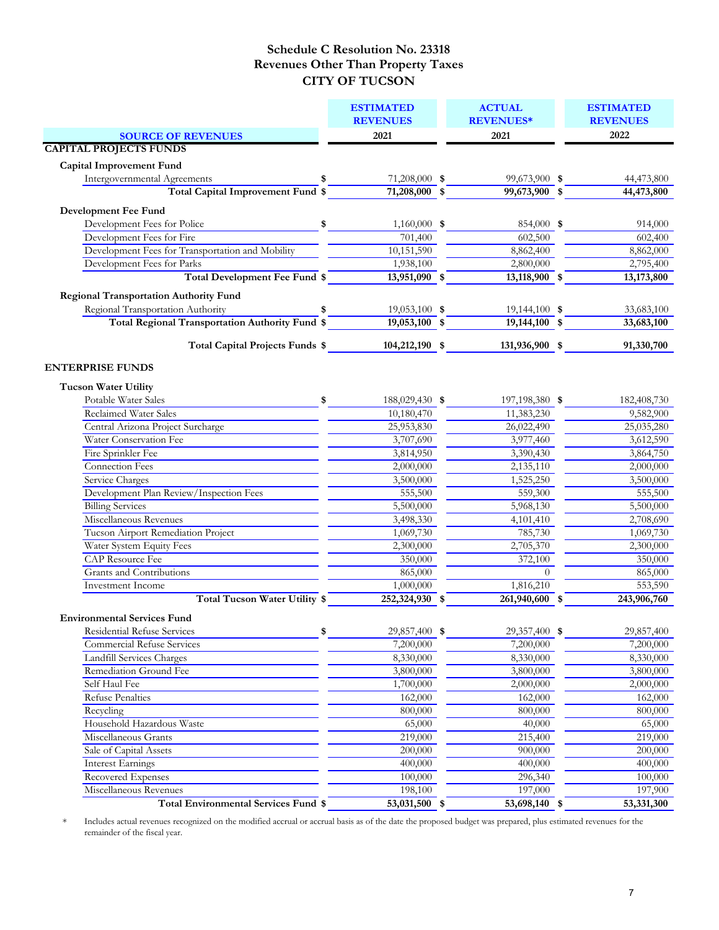|                                                                                                                       |               | <b>ESTIMATED</b>                 |  | <b>ACTUAL</b>                      | <b>ESTIMATED</b> |
|-----------------------------------------------------------------------------------------------------------------------|---------------|----------------------------------|--|------------------------------------|------------------|
|                                                                                                                       |               | <b>REVENUES</b>                  |  | <b>REVENUES*</b>                   | <b>REVENUES</b>  |
| <b>SOURCE OF REVENUES</b>                                                                                             |               | 2021                             |  | 2021                               | 2022             |
| <b>CAPITAL PROJECTS FUNDS</b>                                                                                         |               |                                  |  |                                    |                  |
| Capital Improvement Fund                                                                                              |               |                                  |  |                                    |                  |
| <b>Intergovernmental Agreements</b>                                                                                   | \$            | 71,208,000 \$                    |  | 99,673,900 \$                      | 44,473,800       |
| <sup>§</sup><br>Total Capital Improvement Fund \$                                                                     |               | $71,208,000$ \$                  |  | 99,673,900 \$                      | 44,473,800       |
| Development Fee Fund                                                                                                  |               |                                  |  |                                    |                  |
| Development Fees for Police                                                                                           | $\sim$        | $1,160,000$ \$                   |  | 854,000 \$                         | 914,000          |
| Development Fees for Fire                                                                                             |               | $\overline{701,400}$             |  | 602,500                            | 602,400          |
| Development Fees for Transportation and Mobility                                                                      |               | 10,151,590                       |  | 8,862,400                          | 8,862,000        |
| Development Fees for Parks                                                                                            |               | 1,938,100                        |  | 2,800,000                          | 2,795,400        |
| Total Development Fee Fund \$                                                                                         |               | 13,951,090 \$                    |  | 13,118,900 \$                      | 13,173,800       |
|                                                                                                                       |               |                                  |  |                                    |                  |
| <b>Regional Transportation Authority Fund</b>                                                                         |               |                                  |  |                                    |                  |
| Regional Transportation Authority<br>anal Transportation Authority<br>Total Regional Transportation Authority Fund \$ | \$            | 19,053,100 \$<br>$19,053,100$ \$ |  | $19,144,100$ \$<br>$19,144,100$ \$ | 33,683,100       |
|                                                                                                                       |               |                                  |  |                                    | 33,683,100       |
| Total Capital Projects Funds \$                                                                                       |               | 104,212,190 \$                   |  | 131,936,900 \$                     | 91,330,700       |
|                                                                                                                       |               |                                  |  |                                    |                  |
| <b>ENTERPRISE FUNDS</b>                                                                                               |               |                                  |  |                                    |                  |
| <b>Tucson Water Utility</b>                                                                                           |               |                                  |  |                                    |                  |
| Potable Water Sales                                                                                                   | $\frac{1}{2}$ | 188,029,430 \$                   |  | 197,198,380 \$                     | 182,408,730      |
| Reclaimed Water Sales                                                                                                 |               | 10,180,470                       |  | 11,383,230                         | 9,582,900        |
| Central Arizona Project Surcharge                                                                                     |               | 25,953,830                       |  | 26,022,490                         | 25,035,280       |
| Water Conservation Fee                                                                                                |               | 3,707,690                        |  | 3,977,460                          | 3,612,590        |
| Fire Sprinkler Fee                                                                                                    |               | 3,814,950                        |  | 3,390,430                          | 3,864,750        |
| Connection Fees                                                                                                       |               | 2,000,000                        |  | 2,135,110                          | 2,000,000        |
| Service Charges                                                                                                       |               | 3,500,000                        |  | 1,525,250                          | 3,500,000        |
| Development Plan Review/Inspection Fees                                                                               |               | 555,500                          |  | 559,300                            | 555,500          |
| <b>Billing Services</b>                                                                                               |               | 5,500,000                        |  | 5,968,130                          | 5,500,000        |
| Miscellaneous Revenues                                                                                                |               | 3,498,330                        |  | 4,101,410                          | 2,708,690        |
| Tucson Airport Remediation Project                                                                                    |               | 1,069,730                        |  | 785,730                            | 1,069,730        |
| Water System Equity Fees                                                                                              |               | 2,300,000                        |  | 2,705,370                          | 2,300,000        |
| <b>CAP</b> Resource Fee                                                                                               |               | 350,000                          |  | 372,100                            | 350,000          |
| Grants and Contributions                                                                                              |               | 865,000                          |  | $\overline{0}$                     | 865,000          |
| Investment Income                                                                                                     |               | 1,000,000                        |  | 1,816,210                          | 553,590          |
| Total Tucson Water Utility \$                                                                                         |               | $252,324,930$ \$                 |  | 261,940,600 \$                     | 243,906,760      |
| <b>Environmental Services Fund</b>                                                                                    |               |                                  |  |                                    |                  |
| Residential Refuse Services                                                                                           | \$            | 29,857,400 \$                    |  | 29,357,400 \$                      | 29,857,400       |
| <b>Commercial Refuse Services</b>                                                                                     |               | 7,200,000                        |  | 7,200,000                          | 7,200,000        |
| Landfill Services Charges                                                                                             |               | 8,330,000                        |  | 8,330,000                          | 8,330,000        |
| Remediation Ground Fee                                                                                                |               | 3,800,000                        |  | 3,800,000                          | 3,800,000        |
| Self Haul Fee                                                                                                         |               | 1,700,000                        |  | 2,000,000                          | 2,000,000        |
| <b>Refuse Penalties</b>                                                                                               |               | 162,000                          |  | 162,000                            | 162,000          |
| Recycling                                                                                                             |               | 800,000                          |  | 800,000                            | 800,000          |
| Household Hazardous Waste                                                                                             |               | 65,000                           |  | 40,000                             | 65,000           |
| Miscellaneous Grants                                                                                                  |               | 219,000                          |  | 215,400                            | 219,000          |
| Sale of Capital Assets                                                                                                |               | 200,000                          |  | 900,000                            | 200,000          |
| <b>Interest Earnings</b>                                                                                              |               | 400,000                          |  | 400,000                            | 400,000          |
| Recovered Expenses                                                                                                    |               | 100,000                          |  | 296,340                            | 100,000          |
| Miscellaneous Revenues                                                                                                |               | 198,100                          |  | 197,000                            | 197,900          |
| <b>Total Environmental Services Fund \$</b>                                                                           |               | $53,031,500$ \$                  |  | 53,698,140 \$                      | 53,331,300       |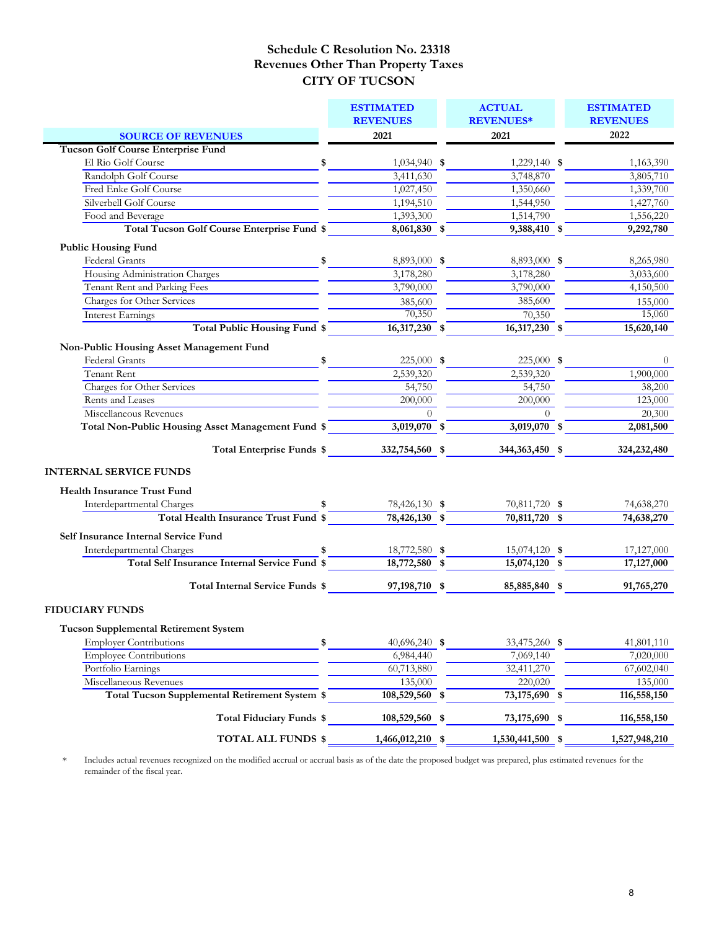|                                                                                   | <b>ESTIMATED</b><br><b>REVENUES</b>    | <b>ACTUAL</b><br><b>REVENUES*</b> | <b>ESTIMATED</b><br><b>REVENUES</b> |
|-----------------------------------------------------------------------------------|----------------------------------------|-----------------------------------|-------------------------------------|
| <b>SOURCE OF REVENUES</b>                                                         | 2021                                   | 2021                              | 2022                                |
| <b>Tucson Golf Course Enterprise Fund</b>                                         |                                        |                                   |                                     |
| El Rio Golf Course                                                                | \$<br>1,034,940 \$                     | 1,229,140 \$                      | 1,163,390                           |
| Randolph Golf Course                                                              | 3,411,630                              | 3,748,870                         | 3,805,710                           |
| Fred Enke Golf Course                                                             | 1,027,450                              | 1,350,660                         | 1,339,700                           |
| Silverbell Golf Course                                                            | 1,194,510                              | 1,544,950                         | 1,427,760                           |
| Food and Beverage                                                                 | 1,393,300                              | 1,514,790                         | 1,556,220                           |
| Total Tucson Golf Course Enterprise Fund \$                                       | 8,061,830 \$                           | $9,388,410$ \$                    | 9,292,780                           |
| <b>Public Housing Fund</b>                                                        |                                        |                                   |                                     |
| Federal Grants                                                                    | \$<br>8,893,000 \$                     | 8,893,000 \$                      | 8,265,980                           |
| Housing Administration Charges                                                    | 3,178,280                              | 3,178,280                         | 3,033,600                           |
| Tenant Rent and Parking Fees                                                      | 3,790,000                              | 3,790,000                         | 4,150,500                           |
| Charges for Other Services                                                        | 385,600                                | 385,600                           | 155,000                             |
| <b>Interest Earnings</b>                                                          | 70,350                                 | 70,350                            | 15,060                              |
| Total Public Housing Fund \$                                                      | $16,317,230$ \$                        | $16,317,230$ \$                   | 15,620,140                          |
|                                                                                   |                                        |                                   |                                     |
| Non-Public Housing Asset Management Fund                                          |                                        |                                   |                                     |
| <b>Federal Grants</b>                                                             | \$<br>225,000 \$                       | 225,000 \$                        | $\theta$                            |
| Tenant Rent                                                                       | 2,539,320                              | 2,539,320                         | 1,900,000                           |
| Charges for Other Services                                                        | 54,750                                 | 54,750                            | 38,200                              |
| Rents and Leases                                                                  | 200,000                                | 200,000                           | 123,000                             |
| Miscellaneous Revenues                                                            | $\Omega$                               | $\Omega$                          | 20,300                              |
| Total Non-Public Housing Asset Management Fund \$                                 | $3,019,070$ \$                         | $3,019,070$ \$                    | 2,081,500                           |
| Total Enterprise Funds \$ 332,754,560 \$                                          |                                        | 344,363,450 \$                    | 324,232,480                         |
| <b>INTERNAL SERVICE FUNDS</b>                                                     |                                        |                                   |                                     |
| <b>Health Insurance Trust Fund</b>                                                |                                        |                                   |                                     |
| Interdepartmental Charges                                                         | 78,426,130 \$                          | 70,811,720 \$                     | 74,638,270                          |
| Total Health Insurance Trust Fund \$                                              | $78,426,130$ \$                        | 70,811,720 \$                     | 74,638,270                          |
|                                                                                   |                                        |                                   |                                     |
| Self Insurance Internal Service Fund                                              |                                        |                                   |                                     |
| Interdepartmental Charges<br><b>Total Self Insurance Internal Service Fund \$</b> | \$<br>18,772,580 \$<br>$18,772,580$ \$ | 15,074,120 \$<br>$15,074,120$ \$  | 17,127,000<br>17,127,000            |
|                                                                                   |                                        |                                   |                                     |
| Total Internal Service Funds \$                                                   | 97, 198, 710 \$                        | 85,885,840 \$                     | 91,765,270                          |
| <b>FIDUCIARY FUNDS</b>                                                            |                                        |                                   |                                     |
| <b>Tucson Supplemental Retirement System</b>                                      |                                        |                                   |                                     |
| <b>Employer Contributions</b>                                                     | \$<br>40,696,240 \$                    | 33,475,260 \$                     | 41,801,110                          |
| <b>Employee Contributions</b>                                                     | 6,984,440                              | 7,069,140                         | 7,020,000                           |
| Portfolio Earnings                                                                | 60,713,880                             | 32,411,270                        | 67,602,040                          |
| Miscellaneous Revenues                                                            | 135,000                                | 220,020                           | 135,000                             |
| Total Tucson Supplemental Retirement System \$                                    | $108,529,560$ \$                       | 73,175,690 \$                     | 116,558,150                         |
| Total Fiduciary Funds \$                                                          | 108,529,560 \$                         | 73,175,690 \$                     | 116,558,150                         |
| <b>TOTAL ALL FUNDS \$</b>                                                         | $1,466,012,210$ \$                     | 1,530,441,500 \$                  | 1,527,948,210                       |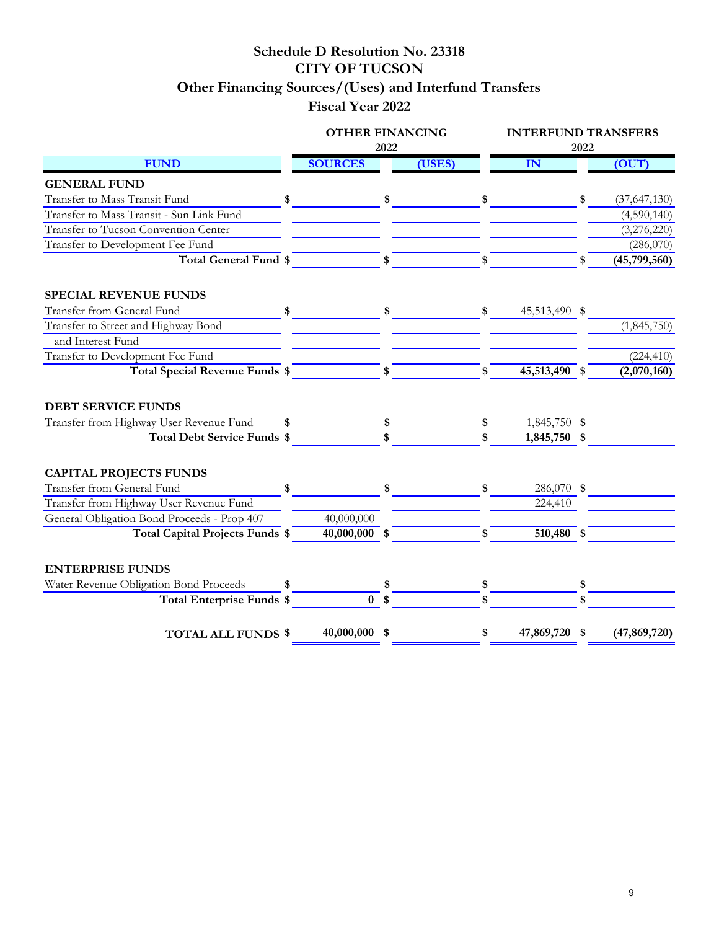# **Schedule D Resolution No. 23318 CITY OF TUCSON Other Financing Sources/(Uses) and Interfund Transfers Fiscal Year 2022**

|                                             | <b>OTHER FINANCING</b> | 2022         |        | <b>INTERFUND TRANSFERS</b><br>2022 |    |                |  |  |  |
|---------------------------------------------|------------------------|--------------|--------|------------------------------------|----|----------------|--|--|--|
| <b>FUND</b>                                 | <b>SOURCES</b>         |              | (USES) | IN                                 |    | (OUT)          |  |  |  |
| <b>GENERAL FUND</b>                         |                        |              |        |                                    |    |                |  |  |  |
| Transfer to Mass Transit Fund               | \$                     |              |        | \$                                 | \$ | (37, 647, 130) |  |  |  |
| Transfer to Mass Transit - Sun Link Fund    |                        |              |        |                                    |    | (4,590,140)    |  |  |  |
| Transfer to Tucson Convention Center        |                        |              |        |                                    |    | (3,276,220)    |  |  |  |
| Transfer to Development Fee Fund            |                        |              |        |                                    |    | (286,070)      |  |  |  |
| Total General Fund \$                       |                        | \$           |        | \$                                 | \$ | (45,799,560)   |  |  |  |
| <b>SPECIAL REVENUE FUNDS</b>                |                        |              |        |                                    |    |                |  |  |  |
| Transfer from General Fund                  | \$                     |              |        | \$<br>45,513,490 \$                |    |                |  |  |  |
| Transfer to Street and Highway Bond         |                        |              |        |                                    |    | (1,845,750)    |  |  |  |
| and Interest Fund                           |                        |              |        |                                    |    |                |  |  |  |
| Transfer to Development Fee Fund            |                        |              |        |                                    |    | (224, 410)     |  |  |  |
| Total Special Revenue Funds \$              |                        | $\mathbf{s}$ |        | \$<br>45,513,490 \$                |    | (2,070,160)    |  |  |  |
| <b>DEBT SERVICE FUNDS</b>                   |                        |              |        |                                    |    |                |  |  |  |
| Transfer from Highway User Revenue Fund     | \$                     |              |        | \$<br>1,845,750 \$                 |    |                |  |  |  |
| <b>Total Debt Service Funds \$</b>          |                        |              |        | 1,845,750 \$                       |    |                |  |  |  |
| <b>CAPITAL PROJECTS FUNDS</b>               |                        |              |        |                                    |    |                |  |  |  |
| Transfer from General Fund                  | \$                     |              |        | \$<br>286,070 \$                   |    |                |  |  |  |
| Transfer from Highway User Revenue Fund     |                        |              |        | 224,410                            |    |                |  |  |  |
| General Obligation Bond Proceeds - Prop 407 | 40,000,000             |              |        |                                    |    |                |  |  |  |
| Total Capital Projects Funds \$             | 40,000,000 \$          |              |        | \$<br>510,480 \$                   |    |                |  |  |  |
|                                             |                        |              |        |                                    |    |                |  |  |  |
| <b>ENTERPRISE FUNDS</b>                     |                        |              |        |                                    |    |                |  |  |  |
| Water Revenue Obligation Bond Proceeds      |                        |              |        |                                    |    |                |  |  |  |
| <b>Total Enterprise Funds \$</b>            | 0 <sup>5</sup>         |              |        | \$                                 | \$ |                |  |  |  |
| <b>TOTAL ALL FUNDS \$</b>                   | 40,000,000 \$          |              |        | \$<br>47,869,720 \$                |    | (47, 869, 720) |  |  |  |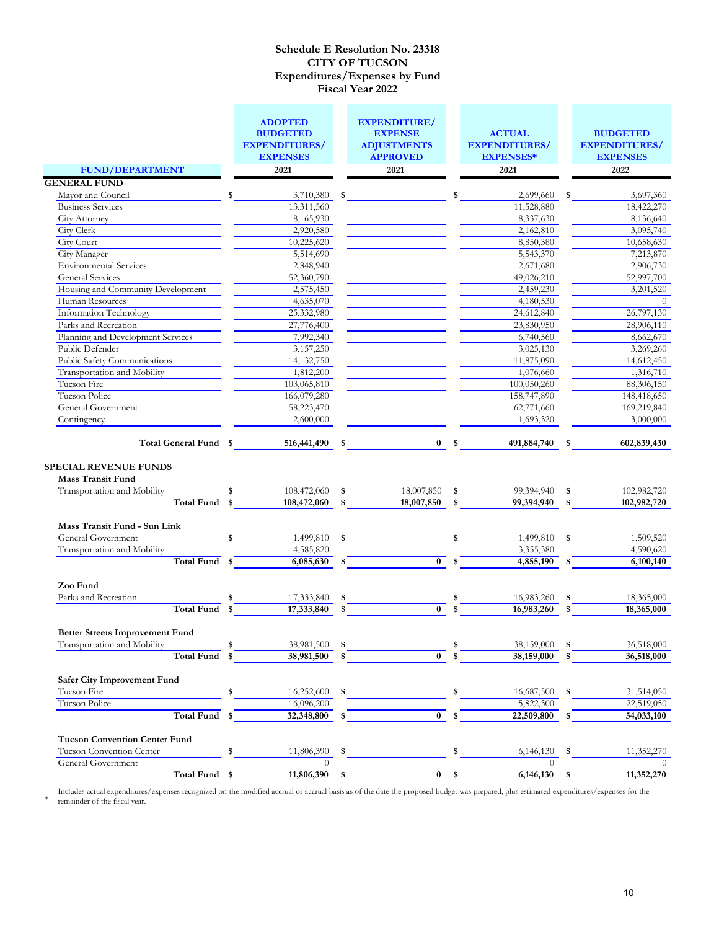|                                                          | <b>ADOPTED</b><br><b>BUDGETED</b><br><b>EXPENDITURES/</b><br><b>EXPENSES</b> |     | <b>EXPENDITURE/</b><br><b>EXPENSE</b><br><b>ADJUSTMENTS</b><br><b>APPROVED</b> | <b>ACTUAL</b><br><b>EXPENDITURES/</b><br><b>EXPENSES*</b> | <b>BUDGETED</b><br><b>EXPENDITURES/</b><br><b>EXPENSES</b> |
|----------------------------------------------------------|------------------------------------------------------------------------------|-----|--------------------------------------------------------------------------------|-----------------------------------------------------------|------------------------------------------------------------|
| <b>FUND/DEPARTMENT</b>                                   | 2021                                                                         |     | 2021                                                                           | 2021                                                      | 2022                                                       |
| <b>GENERAL FUND</b>                                      |                                                                              |     |                                                                                |                                                           |                                                            |
| Mayor and Council                                        | 3,710,380<br>\$                                                              | \$  |                                                                                | \$<br>2,699,660                                           | \$<br>3,697,360                                            |
| <b>Business Services</b>                                 | 13,311,560                                                                   |     |                                                                                | 11,528,880                                                | 18,422,270                                                 |
| <b>City Attorney</b>                                     | 8,165,930                                                                    |     |                                                                                | 8,337,630                                                 | 8,136,640                                                  |
| City Clerk                                               | 2,920,580                                                                    |     |                                                                                | 2,162,810                                                 | 3,095,740                                                  |
| City Court                                               | 10,225,620                                                                   |     |                                                                                | 8,850,380                                                 | 10,658,630                                                 |
| City Manager                                             | 5,514,690                                                                    |     |                                                                                | 5,543,370                                                 | 7,213,870                                                  |
| <b>Environmental Services</b>                            | 2,848,940                                                                    |     |                                                                                | 2,671,680                                                 | 2,906,730                                                  |
| General Services                                         | 52,360,790                                                                   |     |                                                                                | 49,026,210                                                | 52,997,700                                                 |
| Housing and Community Development                        | 2,575,450                                                                    |     |                                                                                | 2,459,230                                                 | 3,201,520                                                  |
| Human Resources                                          | 4,635,070                                                                    |     |                                                                                | 4,180,530                                                 | $\theta$                                                   |
| Information Technology                                   | 25,332,980                                                                   |     |                                                                                | 24,612,840                                                | 26,797,130                                                 |
| Parks and Recreation                                     | 27,776,400                                                                   |     |                                                                                | 23,830,950                                                | 28,906,110                                                 |
| Planning and Development Services                        | 7,992,340                                                                    |     |                                                                                | 6,740,560                                                 | 8,662,670                                                  |
| Public Defender                                          | 3,157,250                                                                    |     |                                                                                | 3,025,130                                                 | 3,269,260                                                  |
| Public Safety Communications                             | 14, 132, 750                                                                 |     |                                                                                | 11,875,090                                                | 14,612,450                                                 |
| Transportation and Mobility                              | 1,812,200                                                                    |     |                                                                                | 1,076,660                                                 | 1,316,710                                                  |
| Tucson Fire                                              | 103,065,810                                                                  |     |                                                                                | 100,050,260                                               | 88,306,150                                                 |
| Tucson Police                                            | 166,079,280                                                                  |     |                                                                                | 158,747,890                                               | 148,418,650                                                |
| General Government                                       | 58,223,470                                                                   |     |                                                                                | 62,771,660                                                | 169,219,840                                                |
| Contingency                                              | 2,600,000                                                                    |     |                                                                                | 1,693,320                                                 | 3,000,000                                                  |
| <b>SPECIAL REVENUE FUNDS</b><br><b>Mass Transit Fund</b> | Total General Fund \$ 516,441,490 \$                                         |     |                                                                                | $0 \quad$ \$<br>491,884,740                               | \$<br>602,839,430                                          |
| Transportation and Mobility                              | $108,472,060$ \$<br>\$                                                       |     | 18,007,850                                                                     | \$<br>99,394,940                                          | \$<br>102,982,720                                          |
| Total Fund \$                                            | 108,472,060                                                                  | \$  | 18,007,850                                                                     | \$<br>99,394,940                                          | \$<br>102,982,720                                          |
| Mass Transit Fund - Sun Link                             |                                                                              |     |                                                                                |                                                           |                                                            |
| General Government                                       | 1,499,810<br>\$                                                              | \$  |                                                                                | 1,499,810                                                 | \$<br>1,509,520                                            |
| Transportation and Mobility                              | 4,585,820                                                                    |     |                                                                                | 3,355,380                                                 | 4,590,620                                                  |
| Total Fund \$                                            | $6,085,630$ \$                                                               |     | $\bf{0}$                                                                       | \$<br>4,855,190                                           | \$<br>6,100,140                                            |
| Zoo Fund                                                 |                                                                              |     |                                                                                |                                                           |                                                            |
| Parks and Recreation                                     | 17,333,840                                                                   | -\$ |                                                                                | \$<br>16,983,260                                          | \$<br>18,365,000                                           |
| Total Fund \$                                            | 17,333,840                                                                   | \$  | $\mathbf{0}$                                                                   | 16,983,260                                                | \$<br>18,365,000                                           |
|                                                          |                                                                              |     |                                                                                |                                                           |                                                            |
| <b>Better Streets Improvement Fund</b>                   |                                                                              |     |                                                                                |                                                           |                                                            |
| Transportation and Mobility                              | 38,981,500                                                                   | \$  |                                                                                | 38,159,000                                                | \$<br>36,518,000                                           |
| <b>Total Fund</b>                                        | 38,981,500                                                                   | \$  | $\bf{0}$                                                                       | 38,159,000                                                | \$<br>36,518,000                                           |
| Safer City Improvement Fund                              |                                                                              |     |                                                                                |                                                           |                                                            |
| Tucson Fire                                              | 16,252,600                                                                   | \$  |                                                                                | \$<br>16,687,500                                          | \$<br>31,514,050                                           |
| Tucson Police                                            | 16,096,200                                                                   |     |                                                                                | 5,822,300                                                 | 22,519,050                                                 |
| Total Fund \$                                            | 32,348,800                                                                   | \$  | $\bf{0}$                                                                       | \$<br>22,509,800                                          | 54,033,100                                                 |
| <b>Tucson Convention Center Fund</b>                     |                                                                              |     |                                                                                |                                                           |                                                            |
| Tucson Convention Center                                 | 11,806,390                                                                   | \$  |                                                                                | 6,146,130                                                 | 11,352,270                                                 |
| General Government                                       | $\theta$                                                                     |     |                                                                                | $\theta$                                                  | $\theta$                                                   |
| Total Fund \$                                            | 11,806,390                                                                   | \$  | $\mathbf{0}$                                                                   | \$<br>6,146,130                                           | \$<br>11,352,270                                           |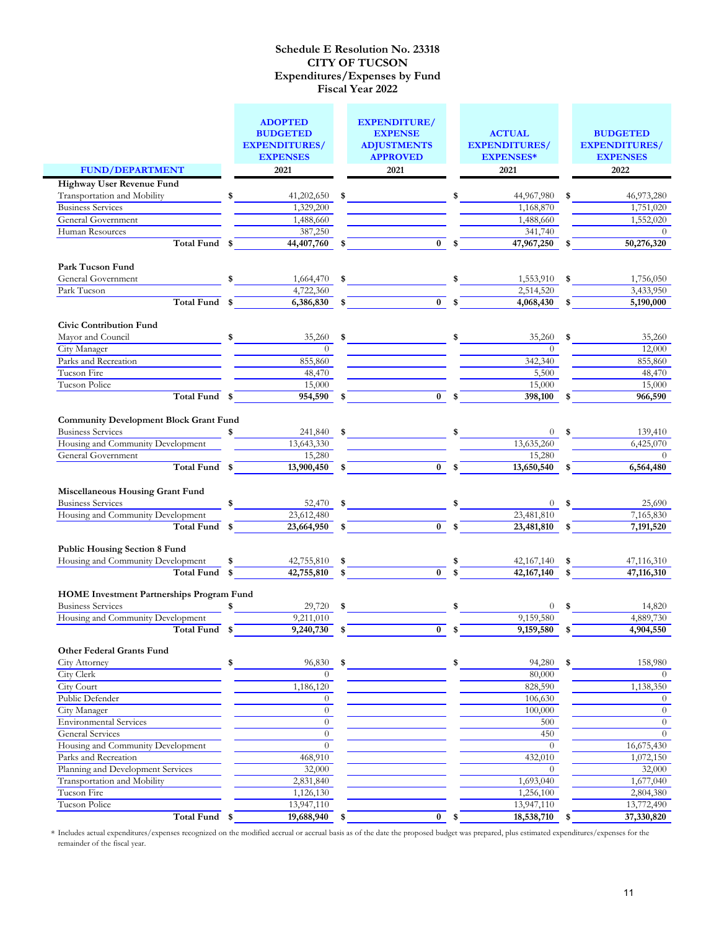|                                                          | <b>ADOPTED</b><br><b>BUDGETED</b>       |      | <b>EXPENDITURE/</b><br><b>EXPENSE</b> | <b>ACTUAL</b>                            |    | <b>BUDGETED</b>                         |
|----------------------------------------------------------|-----------------------------------------|------|---------------------------------------|------------------------------------------|----|-----------------------------------------|
|                                                          | <b>EXPENDITURES/</b><br><b>EXPENSES</b> |      | <b>ADJUSTMENTS</b><br><b>APPROVED</b> | <b>EXPENDITURES/</b><br><b>EXPENSES*</b> |    | <b>EXPENDITURES/</b><br><b>EXPENSES</b> |
| <b>FUND/DEPARTMENT</b>                                   | 2021                                    |      | 2021                                  | 2021                                     |    | 2022                                    |
| Highway User Revenue Fund                                |                                         |      |                                       |                                          |    |                                         |
| Transportation and Mobility                              | \$<br>41,202,650                        | \$   |                                       | 44,967,980                               |    | 46,973,280                              |
| <b>Business Services</b>                                 | 1,329,200                               |      |                                       | 1,168,870                                |    | 1,751,020                               |
| General Government                                       | 1,488,660                               |      |                                       | 1,488,660                                |    | 1,552,020                               |
| Human Resources                                          | 387,250                                 |      |                                       | 341,740                                  |    | $\theta$                                |
| <b>Total Fund</b>                                        | \$<br>44,407,760                        | \$   | $\overline{0}$                        | \$<br>47,967,250                         |    | 50,276,320                              |
| Park Tucson Fund                                         |                                         |      |                                       |                                          |    |                                         |
| General Government                                       | \$<br>1,664,470                         | \$   |                                       | 1,553,910                                | \$ | 1,756,050                               |
| Park Tucson                                              | 4,722,360                               |      |                                       | 2,514,520                                |    | 3,433,950                               |
| Total Fund \$                                            | 6,386,830                               | \$   | $\bf{0}$                              | \$<br>4,068,430                          |    | 5,190,000                               |
| <b>Civic Contribution Fund</b><br>Mayor and Council      | \$<br>35,260                            | \$   |                                       | \$                                       | \$ | 35,260                                  |
| City Manager                                             | $\Omega$                                |      |                                       | 35,260<br>$\Omega$                       |    | 12,000                                  |
| Parks and Recreation                                     | 855,860                                 |      |                                       | 342,340                                  |    | 855,860                                 |
| Tucson Fire                                              | 48,470                                  |      |                                       | 5,500                                    |    | 48,470                                  |
| Tucson Police                                            | 15,000                                  |      |                                       | 15,000                                   |    | 15,000                                  |
| Total Fund \$                                            | 954,590                                 | \$   | $\overline{0}$                        | \$<br>398,100                            | \$ | 966,590                                 |
|                                                          |                                         |      |                                       |                                          |    |                                         |
| <b>Community Development Block Grant Fund</b>            |                                         |      |                                       |                                          |    |                                         |
| <b>Business Services</b>                                 | \$<br>241,840                           | \$   |                                       | 0                                        |    | 139,410                                 |
| Housing and Community Development                        | 13,643,330                              |      |                                       | 13,635,260                               |    | 6,425,070                               |
| General Government                                       | 15,280                                  |      |                                       | 15,280                                   |    | $\theta$                                |
| Total Fund \$                                            | 13,900,450                              | \$   | $\overline{0}$                        | \$<br>13,650,540                         | \$ | 6,564,480                               |
| Miscellaneous Housing Grant Fund                         |                                         |      |                                       |                                          |    |                                         |
| <b>Business Services</b>                                 | \$<br>52,470                            | \$   |                                       | 0                                        |    | 25,690                                  |
| Housing and Community Development                        | $\overline{23,612,480}$                 |      |                                       | 23,481,810                               |    | $\overline{7,}165,830$                  |
| Total Fund \$                                            | 23,664,950                              |      | $\mathbf{0}$                          | \$<br>23,481,810                         |    | 7,191,520                               |
| <b>Public Housing Section 8 Fund</b>                     |                                         |      |                                       |                                          |    |                                         |
| Housing and Community Development                        | \$<br>42,755,810                        | \$   |                                       | \$<br>42,167,140                         | \$ | 47,116,310                              |
| Total Fund                                               | \$<br>42,755,810                        | \$   | $\mathbf{0}$                          | 42, 167, 140                             | \$ | 47,116,310                              |
| <b>HOME</b> Investment Partnerships Program Fund         |                                         |      |                                       |                                          |    |                                         |
| <b>Business Services</b>                                 | \$<br>29,720                            | \$   |                                       | $\theta$                                 | -S | 14,820                                  |
| Housing and Community Development                        | 9,211,010                               |      |                                       | 9,159,580                                |    | 4,889,730                               |
| Total Fund                                               | \$<br>9,240,730                         | \$   | $\bf{0}$                              | \$<br>9,159,580                          | \$ | 4,904,550                               |
| <b>Other Federal Grants Fund</b>                         |                                         |      |                                       |                                          |    |                                         |
| <b>City Attorney</b>                                     | \$<br>96,830                            | \$   |                                       | \$<br>94,280                             | \$ | 158,980                                 |
| City Clerk                                               | $\Omega$                                |      |                                       | 80,000                                   |    | $\Omega$                                |
| City Court<br>Public Defender                            | 1,186,120                               |      |                                       | 828,590                                  |    | 1,138,350                               |
|                                                          | $\overline{0}$<br>$\overline{0}$        |      |                                       | 106,630                                  |    | $\theta$<br>$\Omega$                    |
| City Manager                                             | $\overline{0}$                          |      |                                       | 100,000                                  |    |                                         |
| <b>Environmental Services</b><br><b>General Services</b> | $\overline{0}$                          |      |                                       | 500<br>450                               |    | $\theta$<br>$\theta$                    |
| Housing and Community Development                        | $\overline{0}$                          |      |                                       | $\theta$                                 |    | 16,675,430                              |
| Parks and Recreation                                     | 468,910                                 |      |                                       | 432,010                                  |    | 1,072,150                               |
| Planning and Development Services                        | 32,000                                  |      |                                       | $\theta$                                 |    | 32,000                                  |
| Transportation and Mobility                              | 2,831,840                               |      |                                       | 1,693,040                                |    | 1,677,040                               |
| Tucson Fire                                              | 1,126,130                               |      |                                       | 1,256,100                                |    | 2,804,380                               |
| Tucson Police                                            | 13,947,110                              |      |                                       | 13,947,110                               |    | 13,772,490                              |
| Total Fund \$                                            | 19,688,940                              | - \$ | $0 \quad$ \$                          | 18,538,710                               | \$ | 37,330,820                              |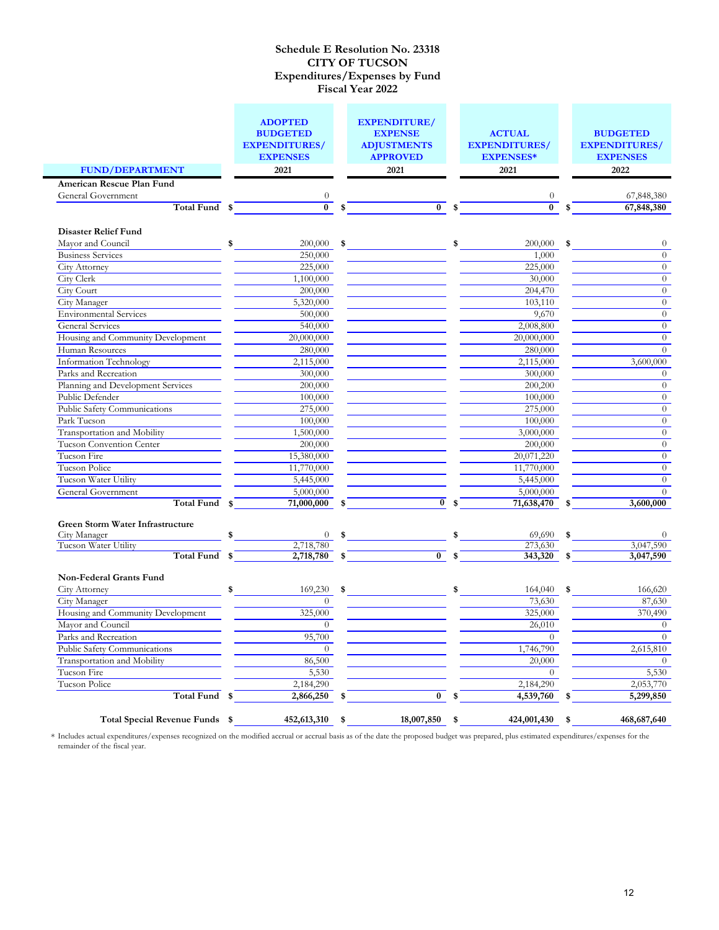|                                         | <b>ADOPTED</b><br><b>BUDGETED</b><br><b>EXPENDITURES/</b><br><b>EXPENSES</b> | <b>EXPENDITURE/</b><br><b>EXPENSE</b><br><b>ADJUSTMENTS</b><br><b>APPROVED</b> | <b>ACTUAL</b><br><b>EXPENDITURES/</b><br><b>EXPENSES*</b> |  |                  | <b>BUDGETED</b><br><b>EXPENDITURES/</b><br><b>EXPENSES</b> |                             |
|-----------------------------------------|------------------------------------------------------------------------------|--------------------------------------------------------------------------------|-----------------------------------------------------------|--|------------------|------------------------------------------------------------|-----------------------------|
| <b>FUND/DEPARTMENT</b>                  | 2021                                                                         | 2021                                                                           |                                                           |  | 2021             |                                                            | 2022                        |
| American Rescue Plan Fund               |                                                                              |                                                                                |                                                           |  |                  |                                                            |                             |
| General Government                      |                                                                              |                                                                                |                                                           |  | $\boldsymbol{0}$ |                                                            | 67,848,380                  |
| Total Fund                              | $\bf{0}$                                                                     | \$<br>$\overline{0}$ \$                                                        |                                                           |  | $\bf{0}$         |                                                            | 67,848,380                  |
|                                         |                                                                              |                                                                                |                                                           |  |                  |                                                            |                             |
| <b>Disaster Relief Fund</b>             |                                                                              |                                                                                |                                                           |  |                  |                                                            |                             |
| Mayor and Council                       | 200,000                                                                      | \$                                                                             | \$                                                        |  | 200,000          | \$                                                         | $\theta$                    |
| <b>Business Services</b>                | 250,000                                                                      |                                                                                |                                                           |  | 1,000            |                                                            | $\theta$                    |
| <b>City Attorney</b>                    | 225,000                                                                      |                                                                                |                                                           |  | 225,000          |                                                            | $\theta$                    |
| City Clerk                              | 1,100,000                                                                    |                                                                                |                                                           |  | 30,000           |                                                            | $\theta$                    |
| City Court                              | 200,000                                                                      |                                                                                |                                                           |  | 204,470          |                                                            | $\theta$                    |
| City Manager                            | 5,320,000                                                                    |                                                                                |                                                           |  | 103,110          |                                                            | $\overline{0}$              |
| <b>Environmental Services</b>           | 500,000                                                                      |                                                                                |                                                           |  | 9,670            |                                                            | $\theta$                    |
| <b>General Services</b>                 | 540,000                                                                      |                                                                                |                                                           |  | 2,008,800        |                                                            | $\theta$                    |
| Housing and Community Development       | 20,000,000                                                                   |                                                                                |                                                           |  | 20,000,000       |                                                            | $\overline{0}$              |
| Human Resources                         | 280,000                                                                      |                                                                                |                                                           |  | 280,000          |                                                            | $\overline{0}$              |
| Information Technology                  | 2,115,000                                                                    |                                                                                |                                                           |  | 2,115,000        |                                                            | 3,600,000                   |
| Parks and Recreation                    | 300,000                                                                      |                                                                                |                                                           |  | 300,000          |                                                            | $\theta$                    |
| Planning and Development Services       | 200,000                                                                      |                                                                                |                                                           |  | 200,200          |                                                            | $\theta$                    |
| Public Defender                         | 100,000                                                                      |                                                                                |                                                           |  | 100,000          |                                                            | $\theta$                    |
| Public Safety Communications            | 275,000                                                                      |                                                                                |                                                           |  | 275,000          |                                                            | $\overline{0}$              |
| Park Tucson                             | 100,000                                                                      |                                                                                |                                                           |  | 100,000          |                                                            | $\theta$                    |
| Transportation and Mobility             | 1,500,000                                                                    |                                                                                |                                                           |  | 3,000,000        |                                                            | $\theta$                    |
| Tucson Convention Center                | 200,000                                                                      |                                                                                |                                                           |  | 200,000          |                                                            | $\overline{0}$              |
| Tucson Fire                             | 15,380,000                                                                   |                                                                                |                                                           |  | 20,071,220       |                                                            | $\theta$                    |
| Tucson Police                           | 11,770,000                                                                   |                                                                                |                                                           |  | 11,770,000       |                                                            | $\theta$                    |
| Tucson Water Utility                    | 5,445,000                                                                    |                                                                                |                                                           |  | 5,445,000        |                                                            | $\overline{0}$              |
| General Government<br><b>Total Fund</b> | 5,000,000<br>71,000,000                                                      | $\overline{0}$                                                                 | \$                                                        |  | 5,000,000        |                                                            | $\overline{0}$<br>3,600,000 |
|                                         | \$                                                                           | \$                                                                             |                                                           |  | 71,638,470       | S                                                          |                             |
| Green Storm Water Infrastructure        |                                                                              |                                                                                |                                                           |  |                  |                                                            |                             |
| City Manager                            | 0                                                                            | \$                                                                             |                                                           |  | 69,690           | \$                                                         | $\theta$                    |
| Tucson Water Utility                    | 2,718,780                                                                    |                                                                                |                                                           |  | 273,630          |                                                            | 3,047,590                   |
| <b>Total Fund</b>                       | \$<br>2,718,780                                                              | $\overline{0}$                                                                 |                                                           |  | 343,320          |                                                            | 3,047,590                   |
|                                         |                                                                              |                                                                                |                                                           |  |                  |                                                            |                             |
| Non-Federal Grants Fund                 |                                                                              |                                                                                |                                                           |  |                  |                                                            |                             |
| <b>City Attorney</b>                    | \$<br>169,230                                                                | \$                                                                             | \$                                                        |  | 164,040          | \$                                                         | 166,620                     |
| City Manager                            | $\Omega$                                                                     |                                                                                |                                                           |  | 73,630           |                                                            | 87,630                      |
| Housing and Community Development       | 325,000                                                                      |                                                                                |                                                           |  | 325,000          |                                                            | 370,490                     |
| Mayor and Council                       | $\theta$                                                                     |                                                                                |                                                           |  | 26,010           |                                                            | $\theta$                    |
| Parks and Recreation                    | 95,700                                                                       |                                                                                |                                                           |  | $\overline{0}$   |                                                            | $\overline{0}$              |
| Public Safety Communications            | $\overline{0}$                                                               |                                                                                |                                                           |  | 1,746,790        |                                                            | 2,615,810                   |
| Transportation and Mobility             | 86,500                                                                       |                                                                                |                                                           |  | 20,000           |                                                            | $\theta$                    |
| Tucson Fire                             | 5,530                                                                        |                                                                                |                                                           |  | $\theta$         |                                                            | 5,530                       |
| Tucson Police                           | 2,184,290                                                                    |                                                                                |                                                           |  | 2,184,290        |                                                            | 2,053,770                   |
| <b>Total Fund</b>                       | \$<br>2,866,250                                                              | \$<br>$\bf{0}$                                                                 | \$                                                        |  | 4,539,760        | \$                                                         | 5,299,850                   |
| Total Special Revenue Funds \$          | 452,613,310                                                                  | \$<br>18,007,850                                                               | \$                                                        |  | 424,001,430      | \$                                                         | 468,687,640                 |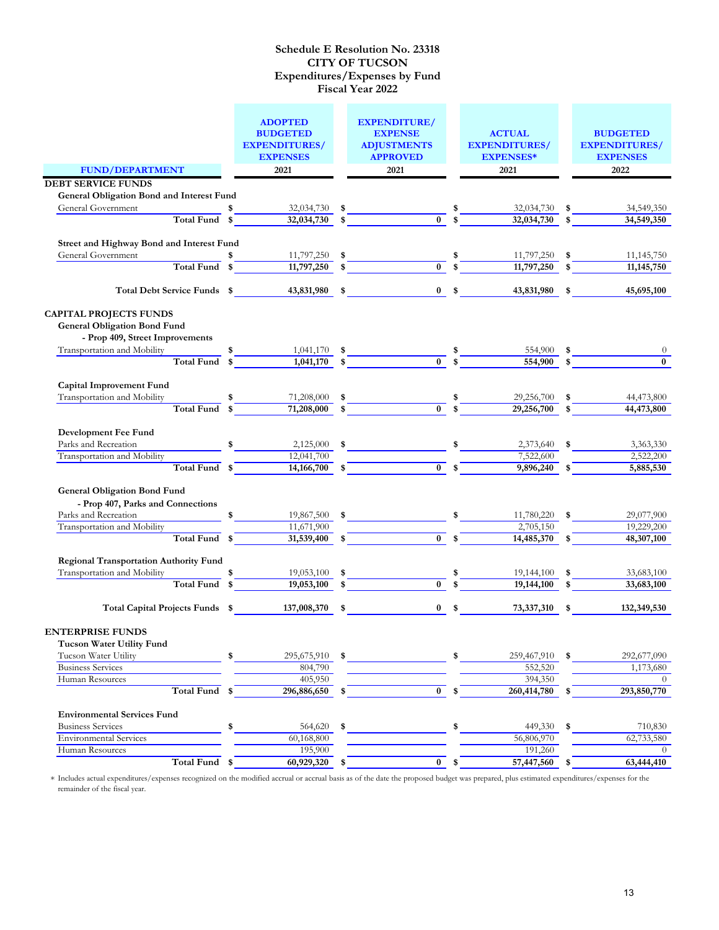|                                                                                                         | <b>ADOPTED</b><br><b>BUDGETED</b><br><b>EXPENDITURES/</b><br><b>EXPENSES</b><br>2021 |             | <b>EXPENDITURE/</b><br><b>EXPENSE</b><br><b>ADJUSTMENTS</b><br><b>APPROVED</b><br>2021 |             | <b>ACTUAL</b><br><b>EXPENDITURES/</b><br><b>EXPENSES*</b><br>2021 |    | <b>BUDGETED</b><br><b>EXPENDITURES/</b><br><b>EXPENSES</b><br>2022 |
|---------------------------------------------------------------------------------------------------------|--------------------------------------------------------------------------------------|-------------|----------------------------------------------------------------------------------------|-------------|-------------------------------------------------------------------|----|--------------------------------------------------------------------|
| <b>FUND/DEPARTMENT</b>                                                                                  |                                                                                      |             |                                                                                        |             |                                                                   |    |                                                                    |
| <b>DEBT SERVICE FUNDS</b>                                                                               |                                                                                      |             |                                                                                        |             |                                                                   |    |                                                                    |
| General Obligation Bond and Interest Fund                                                               |                                                                                      |             |                                                                                        |             |                                                                   |    |                                                                    |
| General Government                                                                                      | 32,034,730                                                                           | \$          |                                                                                        |             | 32,034,730                                                        | \$ | 34,549,350                                                         |
| Total Fund \$                                                                                           | 32,034,730                                                                           | \$          | $\overline{0}$                                                                         |             | 32,034,730                                                        | \$ | 34,549,350                                                         |
|                                                                                                         |                                                                                      |             |                                                                                        |             |                                                                   |    |                                                                    |
| Street and Highway Bond and Interest Fund                                                               |                                                                                      |             |                                                                                        |             |                                                                   |    |                                                                    |
| General Government                                                                                      | 11,797,250                                                                           | \$          |                                                                                        |             | 11,797,250                                                        | \$ | 11, 145, 750                                                       |
| Total Fund \$                                                                                           | 11,797,250                                                                           |             | $\overline{0}$                                                                         | $\mathbf s$ | 11,797,250                                                        |    | 11, 145, 750                                                       |
| Total Debt Service Funds \$                                                                             | 43,831,980                                                                           | \$          | $0 \quad$ \$                                                                           |             | 43,831,980                                                        | \$ | 45,695,100                                                         |
| <b>CAPITAL PROJECTS FUNDS</b><br><b>General Obligation Bond Fund</b><br>- Prop 409, Street Improvements |                                                                                      |             |                                                                                        |             |                                                                   |    |                                                                    |
| Transportation and Mobility                                                                             | 1,041,170                                                                            | \$          |                                                                                        |             | 554,900                                                           | -S |                                                                    |
| Total Fund \$                                                                                           | 1,041,170                                                                            | $\mathbf s$ | $\overline{0}$                                                                         |             | 554,900                                                           | \$ | $\bf{0}$                                                           |
| Capital Improvement Fund                                                                                |                                                                                      |             |                                                                                        |             |                                                                   |    |                                                                    |
| Transportation and Mobility                                                                             | 71,208,000                                                                           | \$          |                                                                                        |             | 29,256,700                                                        | \$ | 44,473,800                                                         |
| Total Fund \$                                                                                           | 71,208,000                                                                           | \$          | $\overline{\mathbf{0}}$                                                                | \$          | 29,256,700                                                        | \$ | 44,473,800                                                         |
| Development Fee Fund<br>Parks and Recreation<br>Transportation and Mobility<br>Total Fund \$            | 2,125,000<br>12,041,700<br>$14,166,700$ \$                                           | \$          | 0 <sup>5</sup>                                                                         |             | 2,373,640<br>7,522,600<br>9,896,240                               | \$ | 3,363,330<br>2,522,200<br>5,885,530                                |
|                                                                                                         |                                                                                      |             |                                                                                        |             |                                                                   |    |                                                                    |
| <b>General Obligation Bond Fund</b><br>- Prop 407, Parks and Connections<br>Parks and Recreation        | 19,867,500                                                                           | \$          |                                                                                        |             | 11,780,220                                                        | \$ | 29,077,900                                                         |
| Transportation and Mobility                                                                             | 11,671,900                                                                           |             |                                                                                        |             | 2,705,150                                                         |    | 19,229,200                                                         |
| Total Fund \$                                                                                           | 31,539,400 \$                                                                        |             | $\mathbf{0}$                                                                           |             | 14,485,370                                                        |    | 48,307,100                                                         |
| Regional Transportation Authority Fund                                                                  |                                                                                      |             |                                                                                        |             |                                                                   |    |                                                                    |
| Transportation and Mobility                                                                             | 19,053,100                                                                           | \$          |                                                                                        | \$          | 19,144,100                                                        | \$ | 33,683,100                                                         |
| Total Fund \$                                                                                           | 19,053,100                                                                           | \$          | $\bf{0}$                                                                               |             | 19,144,100                                                        |    | 33,683,100                                                         |
| Total Capital Projects Funds \$                                                                         | 137,008,370 \$                                                                       |             | $0 \quad$ \$                                                                           |             | 73,337,310                                                        | \$ | 132,349,530                                                        |
| <b>ENTERPRISE FUNDS</b><br>Tucson Water Utility Fund                                                    |                                                                                      |             |                                                                                        |             |                                                                   |    |                                                                    |
| Tucson Water Utility                                                                                    | 295,675,910<br>\$                                                                    | \$          |                                                                                        | \$          | 259,467,910                                                       | \$ | 292,677,090                                                        |
| <b>Business Services</b>                                                                                | 804,790                                                                              |             |                                                                                        |             | 552,520                                                           |    | 1,173,680                                                          |
| Human Resources                                                                                         | 405,950                                                                              |             |                                                                                        |             | 394,350                                                           |    | $\theta$                                                           |
| Total Fund \$                                                                                           | 296,886,650                                                                          | \$          | $\bf{0}$                                                                               | \$          | 260,414,780                                                       | \$ | 293,850,770                                                        |
| <b>Environmental Services Fund</b>                                                                      |                                                                                      |             |                                                                                        |             |                                                                   |    |                                                                    |
| <b>Business Services</b>                                                                                | \$<br>564,620                                                                        | \$          |                                                                                        | \$          | 449,330                                                           | \$ | 710,830                                                            |
| <b>Environmental Services</b>                                                                           | 60,168,800                                                                           |             |                                                                                        |             | 56,806,970                                                        |    | 62,733,580                                                         |
| Human Resources                                                                                         | 195,900                                                                              |             |                                                                                        |             | 191,260                                                           |    | $\theta$                                                           |
| Total Fund \$                                                                                           | 60,929,320                                                                           | \$          | $\bf{0}$                                                                               | \$          | 57,447,560                                                        | \$ | 63,444,410                                                         |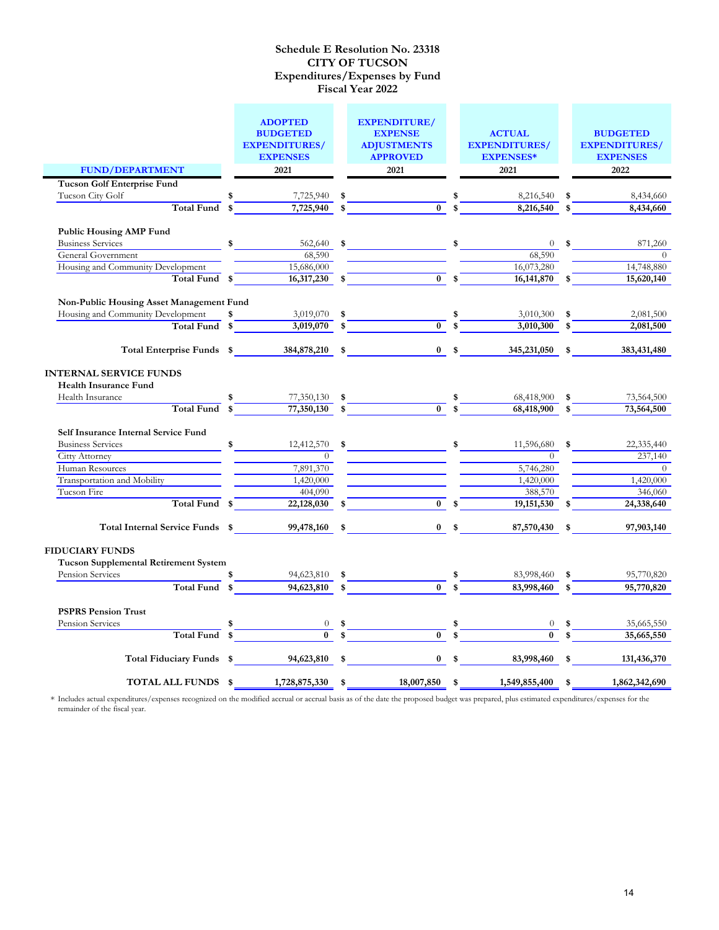|                                              | <b>ADOPTED</b><br><b>BUDGETED</b><br><b>EXPENDITURES/</b> |          | <b>EXPENDITURE/</b><br><b>EXPENSE</b><br><b>ADJUSTMENTS</b>                                               | <b>ACTUAL</b><br><b>EXPENDITURES/</b>                        |              | <b>BUDGETED</b><br><b>EXPENDITURES/</b> |
|----------------------------------------------|-----------------------------------------------------------|----------|-----------------------------------------------------------------------------------------------------------|--------------------------------------------------------------|--------------|-----------------------------------------|
|                                              | <b>EXPENSES</b>                                           |          | <b>APPROVED</b>                                                                                           | <b>EXPENSES*</b>                                             |              | <b>EXPENSES</b>                         |
| <b>FUND/DEPARTMENT</b>                       | 2021                                                      |          | 2021                                                                                                      | 2021                                                         |              | 2022                                    |
| <b>Tucson Golf Enterprise Fund</b>           |                                                           |          |                                                                                                           |                                                              |              |                                         |
| Tucson City Golf                             | 7,725,940 \$                                              |          | $\frac{\text{I}^*}{\text{I}^*}$                                                                           | 8,216,540                                                    | \$           | 8,434,660                               |
| Total Fund \$                                |                                                           |          | $7,725,940$ \$                                                                                            | 8,216,540                                                    | $\mathbf{s}$ | 8,434,660                               |
|                                              |                                                           |          |                                                                                                           |                                                              |              |                                         |
| <b>Public Housing AMP Fund</b>               |                                                           |          |                                                                                                           |                                                              |              |                                         |
| <b>Business Services</b>                     | 562,640<br>$\sim$                                         |          | $\sim$                                                                                                    | $\sim$<br>$\overline{0}$                                     |              | 871,260<br>$\sim$                       |
| General Government                           |                                                           | 68,590   |                                                                                                           | 68,590                                                       |              | $\theta$                                |
| Housing and Community Development            | 15,686,000                                                |          | $\overline{0}$ s                                                                                          | 16,073,280                                                   |              | 14,748,880                              |
|                                              | Total Fund \$<br>$16,317,230$ \$                          |          |                                                                                                           | 16, 141, 870                                                 |              | 15,620,140                              |
| Non-Public Housing Asset Management Fund     |                                                           |          |                                                                                                           |                                                              |              |                                         |
| Housing and Community Development            | \$<br>3,019,070 \$                                        |          |                                                                                                           | 3,010,300                                                    |              | 2,081,500                               |
|                                              | $Total Fund$ $\frac{}{3,019,070}$ $\frac{}{3}$            |          |                                                                                                           | $\frac{\sqrt[3]{5}}{0}$ $\frac{\sqrt[3]{5}}{5}$<br>3,010,300 | $\mathbf s$  | 2,081,500                               |
|                                              |                                                           |          |                                                                                                           |                                                              |              |                                         |
|                                              |                                                           |          |                                                                                                           | 0 $\frac{1}{2}$ 345, 231, 050 $\frac{1}{2}$                  |              | 383,431,480                             |
| <b>INTERNAL SERVICE FUNDS</b>                |                                                           |          |                                                                                                           |                                                              |              |                                         |
| <b>Health Insurance Fund</b>                 |                                                           |          |                                                                                                           |                                                              |              |                                         |
| Health Insurance                             | $\frac{\sqrt{3}}{3}$                                      |          | $\frac{77,350,130}{77,350,130}$ \$ \$                                                                     | 68,418,900                                                   |              | 73,564,500                              |
|                                              |                                                           |          |                                                                                                           | $\overline{68,418,900}$                                      |              | 73,564,500                              |
|                                              |                                                           |          |                                                                                                           |                                                              |              |                                         |
| Self Insurance Internal Service Fund         |                                                           |          |                                                                                                           |                                                              |              |                                         |
| <b>Business Services</b>                     | $\ddot{\bullet}$<br>12,412,570                            |          |                                                                                                           | 11,596,680<br>$\sim$                                         | \$           | 22,335,440                              |
| <b>Citty Attorney</b>                        |                                                           | $\theta$ |                                                                                                           | $\Omega$                                                     |              | 237,140                                 |
| Human Resources                              | 7,891,370                                                 |          |                                                                                                           | 5,746,280                                                    |              | $\overline{0}$                          |
| Transportation and Mobility                  | 1,420,000                                                 |          |                                                                                                           | 1,420,000                                                    |              | 1,420,000                               |
| Tucson Fire                                  | 404,090                                                   |          | 0 <sup>5</sup>                                                                                            | 388,570                                                      |              | 346,060                                 |
| Total Fund \$                                | 22,128,030                                                |          |                                                                                                           | 19, 151, 530                                                 | \$           | 24,338,640                              |
| Total Internal Service Funds \$              | 99,478,160                                                | \$       |                                                                                                           | $0 \quad$ \$<br>87,570,430                                   | \$           | 97,903,140                              |
| <b>FIDUCIARY FUNDS</b>                       |                                                           |          |                                                                                                           |                                                              |              |                                         |
| <b>Tucson Supplemental Retirement System</b> |                                                           |          |                                                                                                           |                                                              |              |                                         |
| Pension Services                             | 94,623,810                                                |          |                                                                                                           | \$<br>83,998,460                                             |              | 95,770,820                              |
| Total Fund \$                                | $94,623,810$ \$                                           |          | $\overline{0}$ s                                                                                          | 83,998,460                                                   |              | 95,770,820                              |
|                                              |                                                           |          |                                                                                                           |                                                              |              |                                         |
| <b>PSPRS Pension Trust</b>                   |                                                           |          |                                                                                                           |                                                              |              |                                         |
| Pension Services<br>Total Fund               |                                                           |          | $\begin{array}{c c}\n0 & \text{$\frac{3}{5}$} \\ \hline\n0 & \text{$\frac{1}{5}$} \\ \hline\n\end{array}$ |                                                              |              | 35,665,550                              |
|                                              |                                                           |          |                                                                                                           |                                                              |              | 35,665,550                              |
| Total Fiduciary Funds \$94,623,810 \$        |                                                           |          |                                                                                                           | 83,998,460                                                   | \$           | 131,436,370                             |
| TOTAL ALL FUNDS \$                           | 1,728,875,330 \$                                          |          | 18,007,850 \$                                                                                             | 1,549,855,400                                                | \$           | 1,862,342,690                           |
|                                              |                                                           |          |                                                                                                           |                                                              |              |                                         |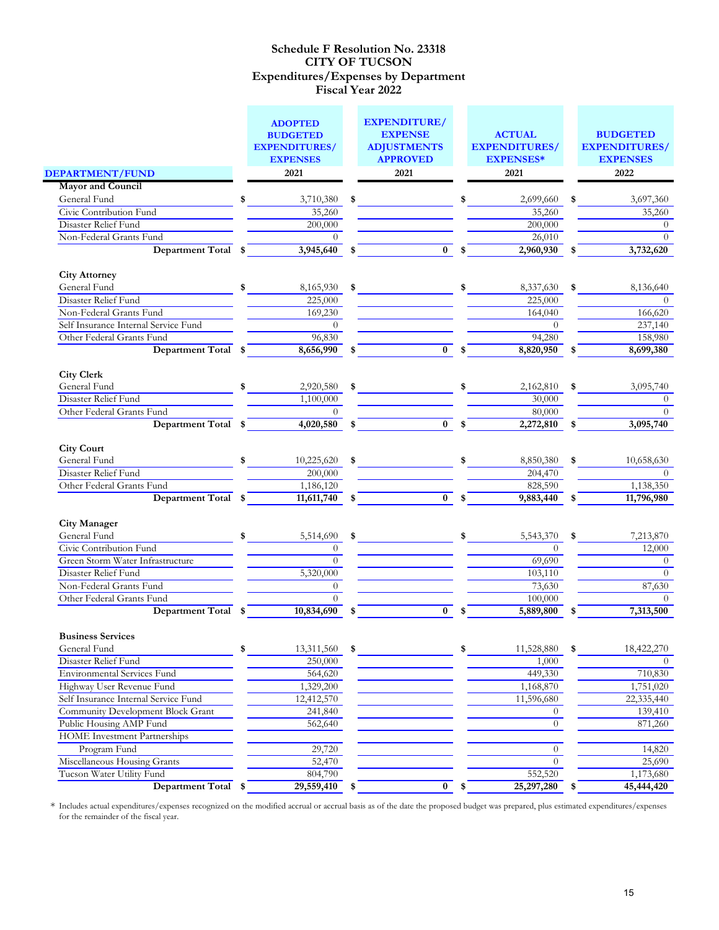|                                                                   |     | <b>ADOPTED</b><br><b>BUDGETED</b><br><b>EXPENDITURES/</b><br><b>EXPENSES</b> | <b>EXPENDITURE/</b><br><b>EXPENSE</b><br><b>ADJUSTMENTS</b><br><b>APPROVED</b> | <b>ACTUAL</b><br><b>EXPENDITURES/</b><br><b>EXPENSES*</b> | <b>BUDGETED</b><br><b>EXPENDITURES/</b><br><b>EXPENSES</b> |
|-------------------------------------------------------------------|-----|------------------------------------------------------------------------------|--------------------------------------------------------------------------------|-----------------------------------------------------------|------------------------------------------------------------|
| <b>DEPARTMENT/FUND</b>                                            |     | 2021                                                                         | 2021                                                                           | 2021                                                      | 2022                                                       |
| <b>Mayor and Council</b>                                          |     |                                                                              |                                                                                |                                                           |                                                            |
| General Fund                                                      | \$  | 3,710,380                                                                    | \$                                                                             | 2,699,660                                                 | \$<br>3,697,360                                            |
| Civic Contribution Fund                                           |     | 35,260                                                                       |                                                                                | 35,260                                                    | 35,260                                                     |
| Disaster Relief Fund                                              |     | 200,000                                                                      |                                                                                | 200,000                                                   | $\overline{0}$                                             |
| Non-Federal Grants Fund                                           |     | $\theta$                                                                     |                                                                                | 26,010                                                    | $\Omega$                                                   |
| <b>Department Total</b>                                           | \$  | 3,945,640                                                                    | \$<br>$\bf{0}$                                                                 | 2,960,930                                                 | 3,732,620                                                  |
| <b>City Attorney</b>                                              |     |                                                                              |                                                                                |                                                           |                                                            |
| General Fund                                                      | \$  | 8,165,930                                                                    | \$                                                                             | \$<br>8,337,630                                           | \$<br>8,136,640                                            |
| Disaster Relief Fund                                              |     | 225,000                                                                      |                                                                                | 225,000                                                   | $\theta$                                                   |
| Non-Federal Grants Fund                                           |     | 169,230                                                                      |                                                                                | 164,040                                                   | 166,620                                                    |
| Self Insurance Internal Service Fund                              |     | $\overline{0}$                                                               |                                                                                | $\theta$                                                  | 237,140                                                    |
| Other Federal Grants Fund                                         |     | 96,830                                                                       |                                                                                | 94,280                                                    | 158,980                                                    |
| <b>Department Total</b>                                           | \$  | 8,656,990                                                                    | $\bf{0}$                                                                       | 8,820,950                                                 | \$<br>8,699,380                                            |
| <b>City Clerk</b>                                                 |     |                                                                              |                                                                                |                                                           |                                                            |
| General Fund                                                      | \$  | 2,920,580                                                                    | \$                                                                             | 2,162,810                                                 | \$<br>3,095,740                                            |
| Disaster Relief Fund                                              |     | 1,100,000                                                                    |                                                                                | 30,000                                                    | $\Omega$                                                   |
| Other Federal Grants Fund                                         |     | $\Omega$                                                                     |                                                                                | 80,000                                                    | $\Omega$                                                   |
| <b>Department Total</b>                                           | -\$ | 4,020,580                                                                    | \$<br>$\overline{0}$                                                           | \$<br>2,272,810                                           | \$<br>3,095,740                                            |
| <b>City Court</b>                                                 |     |                                                                              |                                                                                |                                                           |                                                            |
| General Fund                                                      | \$  | 10,225,620                                                                   | \$                                                                             | 8,850,380                                                 | 10,658,630                                                 |
| Disaster Relief Fund                                              |     | 200,000                                                                      |                                                                                | 204,470                                                   | $\Omega$                                                   |
| Other Federal Grants Fund                                         |     | 1,186,120                                                                    |                                                                                | 828,590                                                   | 1,138,350                                                  |
| Department Total \$                                               |     | 11,611,740                                                                   | \$<br>$\overline{0}$                                                           | \$<br>9,883,440                                           | \$<br>11,796,980                                           |
| <b>City Manager</b>                                               |     |                                                                              |                                                                                |                                                           |                                                            |
| General Fund                                                      | \$  | 5,514,690                                                                    | \$                                                                             | \$<br>5,543,370                                           | \$<br>7,213,870                                            |
| Civic Contribution Fund                                           |     | $\theta$                                                                     |                                                                                | $\Omega$                                                  | 12,000                                                     |
| Green Storm Water Infrastructure                                  |     | $\theta$                                                                     |                                                                                | 69,690                                                    | $\theta$                                                   |
| Disaster Relief Fund                                              |     | 5,320,000                                                                    |                                                                                | 103,110                                                   | $\theta$                                                   |
| Non-Federal Grants Fund                                           |     | $\theta$                                                                     |                                                                                | 73,630                                                    | 87,630                                                     |
| Other Federal Grants Fund                                         |     | $\theta$                                                                     |                                                                                | 100,000                                                   | $\Omega$                                                   |
| <b>Department Total</b>                                           | \$  | 10,834,690                                                                   | \$<br>$\mathbf{0}$                                                             | \$<br>5,889,800                                           | \$<br>7,313,500                                            |
| <b>Business Services</b>                                          |     |                                                                              |                                                                                |                                                           |                                                            |
| General Fund                                                      | \$  | 13,311,560                                                                   | \$                                                                             | \$<br>11,528,880                                          | \$<br>18,422,270                                           |
| Disaster Relief Fund                                              |     | 250,000                                                                      |                                                                                | 1,000                                                     | $\Omega$                                                   |
| <b>Environmental Services Fund</b>                                |     | 564,620                                                                      |                                                                                | 449,330                                                   | 710,830                                                    |
| Highway User Revenue Fund<br>Self Insurance Internal Service Fund |     | 1,329,200                                                                    |                                                                                | 1,168,870                                                 | 1,751,020                                                  |
| Community Development Block Grant                                 |     | 12,412,570                                                                   |                                                                                | 11,596,680                                                | 22,335,440                                                 |
| Public Housing AMP Fund                                           |     | 241,840<br>562,640                                                           |                                                                                | $\left( 0 \right)$<br>$\Omega$                            | 139,410<br>871,260                                         |
| <b>HOME</b> Investment Partnerships                               |     |                                                                              |                                                                                |                                                           |                                                            |
| Program Fund                                                      |     | 29,720                                                                       |                                                                                | $\theta$                                                  | 14,820                                                     |
| Miscellaneous Housing Grants                                      |     | 52,470                                                                       |                                                                                | $\Omega$                                                  | 25,690                                                     |
| Tucson Water Utility Fund                                         |     | 804,790                                                                      |                                                                                | 552,520                                                   | 1,173,680                                                  |
| Department Total \$                                               |     | 29,559,410                                                                   | \$<br>$\overline{\mathbf{0}}$                                                  | \$<br>25,297,280                                          | \$<br>45,444,420                                           |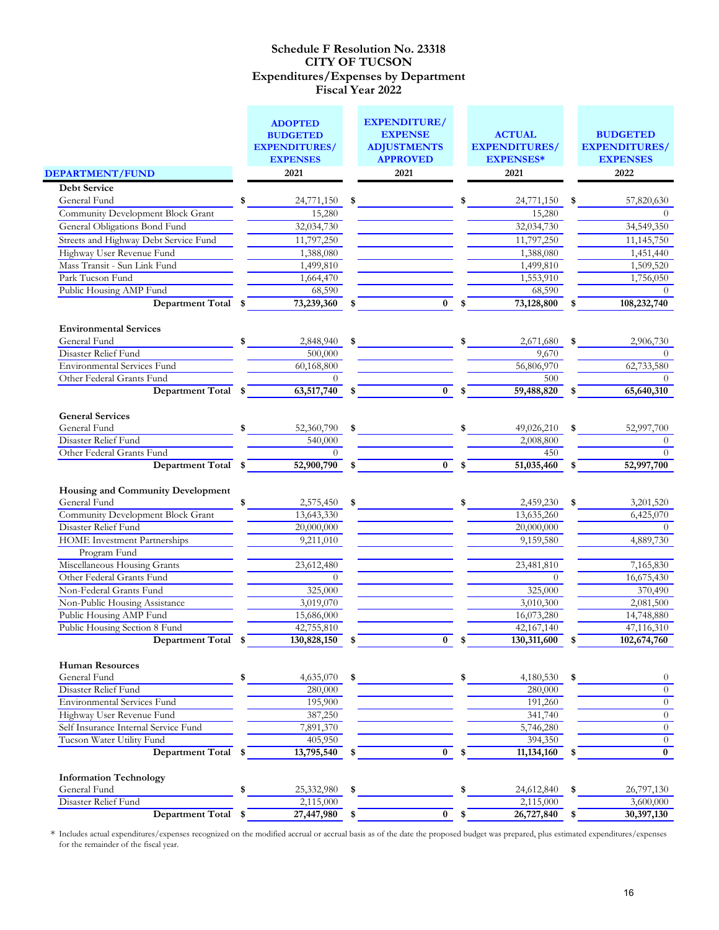|                                                                                                                                                              | <b>ADOPTED</b><br><b>BUDGETED</b><br><b>EXPENDITURES/</b><br><b>EXPENSES</b> | <b>EXPENDITURE/</b><br><b>EXPENSE</b><br><b>ADJUSTMENTS</b><br><b>APPROVED</b> |                  | <b>ACTUAL</b><br><b>EXPENDITURES/</b><br><b>EXPENSES*</b> | <b>BUDGETED</b><br><b>EXPENDITURES/</b><br><b>EXPENSES</b> |
|--------------------------------------------------------------------------------------------------------------------------------------------------------------|------------------------------------------------------------------------------|--------------------------------------------------------------------------------|------------------|-----------------------------------------------------------|------------------------------------------------------------|
| <b>DEPARTMENT/FUND</b>                                                                                                                                       | 2021                                                                         | 2021                                                                           |                  | 2021                                                      | 2022                                                       |
| <b>Debt Service</b>                                                                                                                                          |                                                                              |                                                                                |                  |                                                           |                                                            |
| General Fund                                                                                                                                                 | \$<br>24,771,150                                                             | \$                                                                             |                  | 24,771,150                                                | \$<br>57,820,630                                           |
| <b>Community Development Block Grant</b>                                                                                                                     | 15,280                                                                       |                                                                                |                  | 15,280                                                    | $\Omega$                                                   |
| General Obligations Bond Fund                                                                                                                                | 32,034,730                                                                   |                                                                                |                  | 32,034,730                                                | 34,549,350                                                 |
| Streets and Highway Debt Service Fund                                                                                                                        | 11,797,250                                                                   |                                                                                |                  | 11,797,250                                                | 11,145,750                                                 |
| Highway User Revenue Fund                                                                                                                                    | 1,388,080                                                                    |                                                                                |                  | 1,388,080                                                 | 1,451,440                                                  |
| Mass Transit - Sun Link Fund                                                                                                                                 | 1,499,810                                                                    |                                                                                |                  | 1,499,810                                                 | 1,509,520                                                  |
| Park Tucson Fund                                                                                                                                             | 1,664,470                                                                    |                                                                                |                  | 1,553,910                                                 | 1,756,050                                                  |
| Public Housing AMP Fund                                                                                                                                      | 68,590                                                                       |                                                                                |                  | 68,590                                                    | $\Omega$                                                   |
| Department Total \$                                                                                                                                          | 73,239,360                                                                   | $\bf{0}$                                                                       | \$               | 73,128,800                                                | 108,232,740                                                |
| <b>Environmental Services</b>                                                                                                                                |                                                                              |                                                                                |                  |                                                           |                                                            |
| General Fund                                                                                                                                                 | \$<br>2,848,940                                                              | \$                                                                             |                  | 2,671,680                                                 | \$<br>2,906,730                                            |
| Disaster Relief Fund                                                                                                                                         | 500,000                                                                      |                                                                                |                  | 9,670                                                     | $\Omega$                                                   |
| <b>Environmental Services Fund</b>                                                                                                                           | 60,168,800                                                                   |                                                                                |                  | 56,806,970                                                | 62,733,580                                                 |
| Other Federal Grants Fund                                                                                                                                    | $\theta$                                                                     |                                                                                |                  | 500                                                       | $\Omega$                                                   |
| Department Total \$                                                                                                                                          | $63,517,740$ \$                                                              | $\bf{0}$                                                                       |                  | 59,488,820                                                | 65,640,310                                                 |
| <b>General Services</b>                                                                                                                                      |                                                                              |                                                                                |                  |                                                           |                                                            |
| General Fund<br>Disaster Relief Fund                                                                                                                         | \$<br>52,360,790<br>540,000                                                  | \$                                                                             | \$               | 49,026,210<br>2,008,800                                   | \$<br>52,997,700<br>$\Omega$                               |
| Other Federal Grants Fund                                                                                                                                    | $\theta$                                                                     |                                                                                |                  | 450                                                       | $\Omega$                                                   |
| Department Total \$                                                                                                                                          | 52,900,790                                                                   | \$                                                                             | $\overline{0}$ s | 51,035,460                                                | 52,997,700                                                 |
| Housing and Community Development<br>General Fund<br><b>Community Development Block Grant</b><br>Disaster Relief Fund<br><b>HOME</b> Investment Partnerships | \$<br>$2,575,450$ \$<br>13,643,330<br>20,000,000<br>9,211,010                |                                                                                |                  | 2,459,230<br>13,635,260<br>20,000,000<br>9,159,580        | \$<br>3,201,520<br>6,425,070<br>$\Omega$<br>4,889,730      |
| Program Fund                                                                                                                                                 |                                                                              |                                                                                |                  |                                                           |                                                            |
| Miscellaneous Housing Grants<br>Other Federal Grants Fund                                                                                                    | 23,612,480<br>$\overline{0}$                                                 |                                                                                |                  | 23,481,810<br>$\theta$                                    | 7,165,830                                                  |
| Non-Federal Grants Fund                                                                                                                                      | 325,000                                                                      |                                                                                |                  | 325,000                                                   | 16,675,430<br>370,490                                      |
| Non-Public Housing Assistance                                                                                                                                | 3,019,070                                                                    |                                                                                |                  | 3,010,300                                                 | 2,081,500                                                  |
| Public Housing AMP Fund                                                                                                                                      | 15,686,000                                                                   |                                                                                |                  | 16,073,280                                                | 14,748,880                                                 |
| Public Housing Section 8 Fund                                                                                                                                | 42,755,810                                                                   |                                                                                |                  | $\overline{42,}167,140$                                   | 47,116,310                                                 |
| <b>Example 21 Department Total</b>                                                                                                                           | 130,828,150                                                                  | $\mathbf{0}$                                                                   | \$               | 130,311,600                                               | 102,674,760                                                |
| <b>Human Resources</b><br>General Fund<br>Disaster Relief Fund<br>Environmental Services Fund                                                                | \$<br>4,635,070<br>280,000<br>195,900                                        | \$                                                                             | \$               | 4,180,530<br>280,000<br>191,260                           | \$<br>$\theta$<br>$\boldsymbol{0}$<br>$\overline{0}$       |
| Highway User Revenue Fund                                                                                                                                    |                                                                              |                                                                                |                  |                                                           | $\overline{0}$                                             |
| Self Insurance Internal Service Fund                                                                                                                         | 387,250<br>7,891,370                                                         |                                                                                |                  | 341,740<br>5,746,280                                      | $\overline{0}$                                             |
| Tucson Water Utility Fund                                                                                                                                    | 405,950                                                                      |                                                                                |                  |                                                           | $\theta$                                                   |
| <b>Department Total</b>                                                                                                                                      | \$<br>13,795,540                                                             | \$<br>$\bf{0}$                                                                 | \$               | 394,350<br>11,134,160                                     | $\bf{0}$                                                   |
| <b>Information Technology</b>                                                                                                                                |                                                                              |                                                                                |                  |                                                           |                                                            |
| General Fund                                                                                                                                                 | \$<br>25,332,980                                                             | \$                                                                             | \$               | 24,612,840                                                | \$<br>26,797,130                                           |
| Disaster Relief Fund                                                                                                                                         | 2,115,000                                                                    |                                                                                |                  | 2,115,000                                                 | 3,600,000                                                  |
| Department Total                                                                                                                                             | \$<br>27,447,980                                                             | \$<br>$\bf{0}$                                                                 | \$               | 26,727,840                                                | \$<br>30,397,130                                           |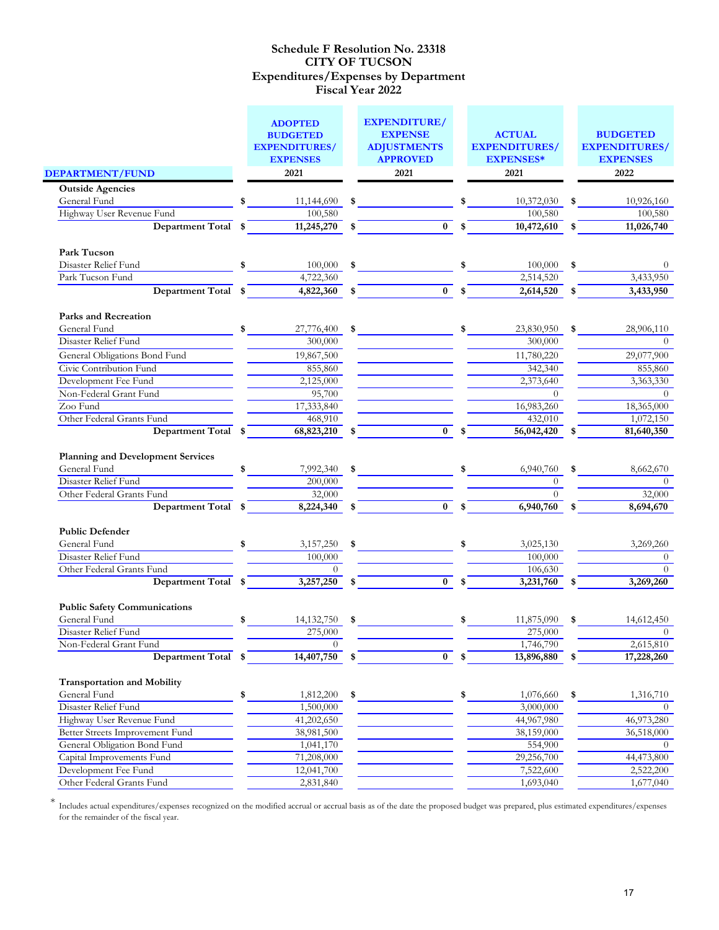|                                                    | <b>ADOPTED</b><br><b>BUDGETED</b><br><b>EXPENDITURES/</b><br><b>EXPENSES</b> | <b>EXPENDITURE/</b><br><b>EXPENSE</b><br><b>ADJUSTMENTS</b><br><b>APPROVED</b> | <b>ACTUAL</b><br><b>EXPENDITURES/</b><br><b>EXPENSES*</b> | <b>BUDGETED</b><br><b>EXPENDITURES/</b><br><b>EXPENSES</b> |
|----------------------------------------------------|------------------------------------------------------------------------------|--------------------------------------------------------------------------------|-----------------------------------------------------------|------------------------------------------------------------|
| DEPARTMENT/FUND                                    | 2021                                                                         | 2021                                                                           | 2021                                                      | 2022                                                       |
| <b>Outside Agencies</b>                            |                                                                              |                                                                                |                                                           |                                                            |
| General Fund                                       | \$<br>11,144,690                                                             | \$                                                                             | 10,372,030                                                | \$<br>10,926,160                                           |
| Highway User Revenue Fund                          | 100,580                                                                      |                                                                                | 100,580                                                   | 100,580                                                    |
| Department Total                                   | 11,245,270                                                                   | $\bf{0}$                                                                       | 10,472,610                                                | 11,026,740                                                 |
| Park Tucson                                        |                                                                              |                                                                                |                                                           |                                                            |
| Disaster Relief Fund                               | 100,000                                                                      | \$                                                                             | 100,000                                                   | \$                                                         |
| Park Tucson Fund                                   | 4,722,360                                                                    |                                                                                | 2,514,520                                                 | 3,433,950                                                  |
| Department Total \$                                | 4,822,360                                                                    | $\bf{0}$                                                                       | 2,614,520                                                 | \$<br>3,433,950                                            |
| <b>Parks and Recreation</b>                        |                                                                              |                                                                                |                                                           |                                                            |
| General Fund                                       | \$<br>27,776,400                                                             | \$                                                                             | \$<br>23,830,950                                          | \$<br>28,906,110                                           |
| Disaster Relief Fund                               | 300,000                                                                      |                                                                                | 300,000                                                   | $\Omega$                                                   |
| General Obligations Bond Fund                      | 19,867,500                                                                   |                                                                                | 11,780,220                                                | 29,077,900                                                 |
| Civic Contribution Fund                            | 855,860                                                                      |                                                                                | 342,340                                                   | 855,860                                                    |
| Development Fee Fund                               | 2,125,000                                                                    |                                                                                | 2,373,640                                                 | 3,363,330                                                  |
| Non-Federal Grant Fund                             | 95,700                                                                       |                                                                                | $\Omega$                                                  | $\Omega$                                                   |
| Zoo Fund                                           | 17,333,840                                                                   |                                                                                | 16,983,260                                                | 18,365,000                                                 |
| Other Federal Grants Fund<br>Department Total \$   | 468,910                                                                      | $\bf{0}$                                                                       | 432,010<br>56,042,420                                     | 1,072,150                                                  |
| <b>Planning and Development Services</b>           | 68,823,210                                                                   |                                                                                |                                                           | 81,640,350                                                 |
| General Fund                                       | \$<br>7,992,340                                                              | \$                                                                             | \$<br>6,940,760                                           | \$<br>8,662,670                                            |
| Disaster Relief Fund                               | 200,000                                                                      |                                                                                | $\Omega$                                                  | $\Omega$                                                   |
| Other Federal Grants Fund                          | 32,000                                                                       |                                                                                | $\Omega$                                                  | 32,000                                                     |
| <b>Department Total</b>                            | \$<br>8,224,340                                                              | \$<br>$\overline{0}$                                                           | \$<br>6,940,760                                           | 8,694,670                                                  |
| <b>Public Defender</b>                             |                                                                              |                                                                                |                                                           |                                                            |
| General Fund                                       | 3,157,250                                                                    | \$                                                                             | 3,025,130                                                 | 3,269,260                                                  |
| Disaster Relief Fund                               | 100,000                                                                      |                                                                                | 100,000                                                   | $\theta$                                                   |
| Other Federal Grants Fund                          | $\theta$                                                                     |                                                                                | 106,630                                                   | $\Omega$                                                   |
| <b>Department Total</b>                            | \$<br>3,257,250                                                              | \$<br>$\overline{0}$                                                           | 3,231,760                                                 | \$<br>3,269,260                                            |
| <b>Public Safety Communications</b>                |                                                                              |                                                                                |                                                           |                                                            |
| General Fund                                       | \$<br>14, 132, 750                                                           | \$                                                                             | 11,875,090                                                | \$<br>14,612,450                                           |
| Disaster Relief Fund                               | 275,000                                                                      |                                                                                | 275,000                                                   | $\theta$                                                   |
| Non-Federal Grant Fund                             | 0                                                                            |                                                                                | 1,746,790                                                 | 2,615,810                                                  |
| Department Total                                   | \$<br>14,407,750                                                             | $\bf{0}$                                                                       | 13,896,880                                                | \$<br>17,228,260                                           |
| <b>Transportation and Mobility</b><br>General Fund | \$<br>1,812,200                                                              | \$                                                                             | \$<br>1,076,660                                           | \$<br>1,316,710                                            |
| Disaster Relief Fund                               | 1,500,000                                                                    |                                                                                | 3,000,000                                                 | $\Omega$                                                   |
| Highway User Revenue Fund                          | 41,202,650                                                                   |                                                                                | 44,967,980                                                | 46,973,280                                                 |
| Better Streets Improvement Fund                    | 38,981,500                                                                   |                                                                                | 38,159,000                                                | 36,518,000                                                 |
| General Obligation Bond Fund                       | 1,041,170                                                                    |                                                                                | 554,900                                                   | $\overline{0}$                                             |
| Capital Improvements Fund                          | 71,208,000                                                                   |                                                                                | 29,256,700                                                | 44,473,800                                                 |
| Development Fee Fund                               | 12,041,700                                                                   |                                                                                | 7,522,600                                                 | 2,522,200                                                  |
| Other Federal Grants Fund                          | 2,831,840                                                                    |                                                                                | 1,693,040                                                 | 1,677,040                                                  |
|                                                    |                                                                              |                                                                                |                                                           |                                                            |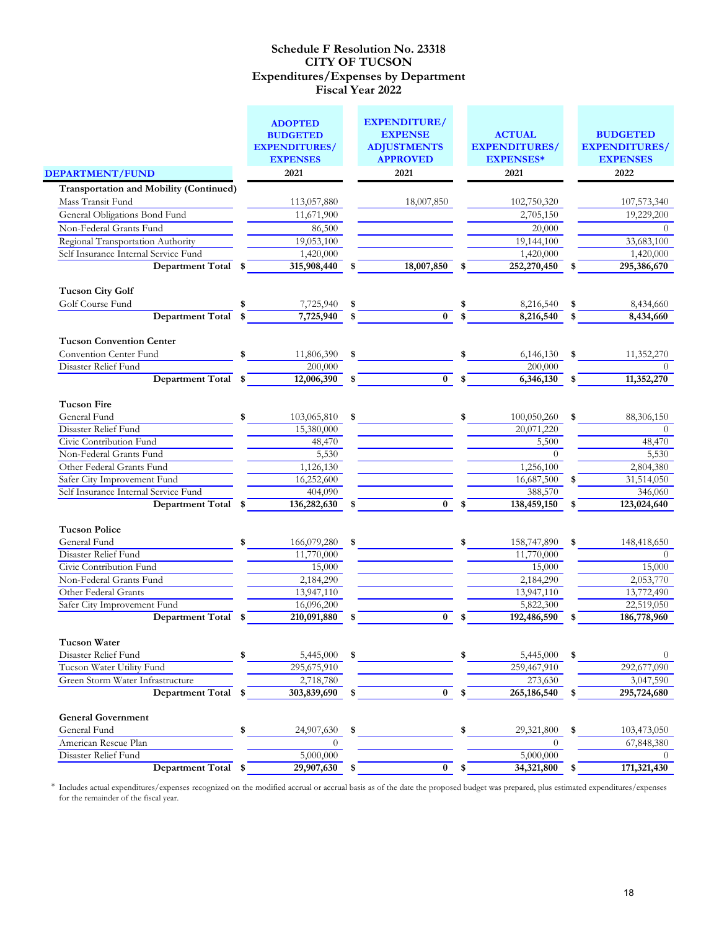| <b>DEPARTMENT/FUND</b>                                                                                                                                                                                                                   |          | <b>ADOPTED</b><br><b>BUDGETED</b><br><b>EXPENDITURES/</b><br><b>EXPENSES</b><br>2021              |     | <b>EXPENDITURE/</b><br><b>EXPENSE</b><br><b>ADJUSTMENTS</b><br><b>APPROVED</b><br>2021 | <b>ACTUAL</b><br><b>EXPENDITURES/</b><br><b>EXPENSES*</b><br>2021                                   |          | <b>BUDGETED</b><br><b>EXPENDITURES/</b><br><b>EXPENSES</b><br>2022                             |
|------------------------------------------------------------------------------------------------------------------------------------------------------------------------------------------------------------------------------------------|----------|---------------------------------------------------------------------------------------------------|-----|----------------------------------------------------------------------------------------|-----------------------------------------------------------------------------------------------------|----------|------------------------------------------------------------------------------------------------|
|                                                                                                                                                                                                                                          |          |                                                                                                   |     |                                                                                        |                                                                                                     |          |                                                                                                |
| <b>Transportation and Mobility (Continued)</b>                                                                                                                                                                                           |          |                                                                                                   |     |                                                                                        |                                                                                                     |          |                                                                                                |
| Mass Transit Fund                                                                                                                                                                                                                        |          | 113,057,880                                                                                       |     | 18,007,850                                                                             | 102,750,320                                                                                         |          | 107,573,340                                                                                    |
| General Obligations Bond Fund                                                                                                                                                                                                            |          | 11,671,900                                                                                        |     |                                                                                        | 2,705,150                                                                                           |          | 19,229,200                                                                                     |
| Non-Federal Grants Fund                                                                                                                                                                                                                  |          | 86,500                                                                                            |     |                                                                                        | 20,000                                                                                              |          | $\theta$                                                                                       |
| Regional Transportation Authority                                                                                                                                                                                                        |          | 19,053,100                                                                                        |     |                                                                                        | $\overline{19,}144,100$                                                                             |          | 33,683,100                                                                                     |
| Self Insurance Internal Service Fund                                                                                                                                                                                                     |          | 1,420,000                                                                                         |     |                                                                                        | 1,420,000                                                                                           |          | 1,420,000                                                                                      |
| Department Total                                                                                                                                                                                                                         | \$       | 315,908,440                                                                                       |     | 18,007,850                                                                             | 252,270,450                                                                                         |          | 295,386,670                                                                                    |
| <b>Tucson City Golf</b>                                                                                                                                                                                                                  |          |                                                                                                   |     |                                                                                        |                                                                                                     |          |                                                                                                |
| Golf Course Fund                                                                                                                                                                                                                         |          | 7,725,940                                                                                         |     |                                                                                        | 8,216,540                                                                                           | \$       | 8,434,660                                                                                      |
| Department Total                                                                                                                                                                                                                         |          | 7,725,940                                                                                         |     | $\bf{0}$                                                                               | 8,216,540                                                                                           | \$       | 8,434,660                                                                                      |
| <b>Tucson Convention Center</b>                                                                                                                                                                                                          |          |                                                                                                   |     |                                                                                        |                                                                                                     |          |                                                                                                |
| Convention Center Fund                                                                                                                                                                                                                   | \$       | 11,806,390                                                                                        | \$  |                                                                                        | 6,146,130                                                                                           |          | 11,352,270                                                                                     |
| Disaster Relief Fund                                                                                                                                                                                                                     |          | 200,000                                                                                           |     |                                                                                        | 200,000                                                                                             |          | $\theta$                                                                                       |
| <b>Department Total</b>                                                                                                                                                                                                                  | \$       | 12,006,390                                                                                        | \$  | $\bf{0}$                                                                               | \$<br>6,346,130                                                                                     | \$       | 11,352,270                                                                                     |
| <b>Tucson Fire</b><br>General Fund<br>Disaster Relief Fund<br>Civic Contribution Fund<br>Non-Federal Grants Fund<br>Other Federal Grants Fund<br>Safer City Improvement Fund<br>Self Insurance Internal Service Fund<br>Department Total | \$<br>\$ | 103,065,810<br>15,380,000<br>48,470<br>5,530<br>1,126,130<br>16,252,600<br>404,090<br>136,282,630 | \$  | $\mathbf{0}$                                                                           | 100,050,260<br>20,071,220<br>5,500<br>$\Omega$<br>1,256,100<br>16,687,500<br>388,570<br>138,459,150 | \$<br>\$ | 88,306,150<br>$\Omega$<br>48,470<br>5,530<br>2,804,380<br>31,514,050<br>346,060<br>123,024,640 |
| <b>Tucson Police</b>                                                                                                                                                                                                                     |          |                                                                                                   |     |                                                                                        |                                                                                                     |          |                                                                                                |
| General Fund                                                                                                                                                                                                                             | \$       | 166,079,280                                                                                       |     |                                                                                        | 158,747,890                                                                                         | \$       | 148,418,650                                                                                    |
| Disaster Relief Fund                                                                                                                                                                                                                     |          | 11,770,000                                                                                        |     |                                                                                        | 11,770,000                                                                                          |          | $\Omega$                                                                                       |
| Civic Contribution Fund                                                                                                                                                                                                                  |          | 15,000                                                                                            |     |                                                                                        | 15,000                                                                                              |          | 15,000                                                                                         |
| Non-Federal Grants Fund                                                                                                                                                                                                                  |          | 2,184,290                                                                                         |     |                                                                                        | 2,184,290                                                                                           |          | 2,053,770                                                                                      |
| Other Federal Grants                                                                                                                                                                                                                     |          | 13,947,110                                                                                        |     |                                                                                        | 13,947,110                                                                                          |          | 13,772,490                                                                                     |
| Safer City Improvement Fund                                                                                                                                                                                                              |          | 16,096,200                                                                                        |     |                                                                                        | 5,822,300                                                                                           |          | 22,519,050                                                                                     |
| Department Total                                                                                                                                                                                                                         |          | 210,091,880                                                                                       |     | $\bf{0}$                                                                               | 192,486,590                                                                                         |          | 186,778,960                                                                                    |
| <b>Tucson Water</b><br>Disaster Relief Fund                                                                                                                                                                                              | \$       | 5,445,000                                                                                         |     |                                                                                        | \$<br>5,445,000                                                                                     | \$       | $\theta$                                                                                       |
| Tucson Water Utility Fund                                                                                                                                                                                                                |          | 295,675,910                                                                                       |     |                                                                                        | 259,467,910                                                                                         |          | 292,677,090                                                                                    |
| Green Storm Water Infrastructure                                                                                                                                                                                                         |          | 2,718,780                                                                                         |     |                                                                                        | 273,630                                                                                             |          | 3,047,590                                                                                      |
| <b>Department Total</b>                                                                                                                                                                                                                  | \$       | 303,839,690                                                                                       | -\$ | $\mathbf{0}$                                                                           | \$<br>265,186,540                                                                                   | \$       | 295,724,680                                                                                    |
| <b>General Government</b>                                                                                                                                                                                                                |          |                                                                                                   |     |                                                                                        |                                                                                                     |          |                                                                                                |
| General Fund                                                                                                                                                                                                                             | \$       | 24,907,630                                                                                        | \$  |                                                                                        | \$<br>29,321,800                                                                                    | \$       | 103,473,050                                                                                    |
| American Rescue Plan                                                                                                                                                                                                                     |          | $\theta$                                                                                          |     |                                                                                        | $\Omega$                                                                                            |          | 67,848,380                                                                                     |
| Disaster Relief Fund<br>Department Total \$                                                                                                                                                                                              |          | 5,000,000                                                                                         |     | $\bf{0}$                                                                               | 5,000,000<br>$34,321,800$ \$                                                                        |          | $\theta$<br>171,321,430                                                                        |
|                                                                                                                                                                                                                                          |          | 29,907,630                                                                                        |     |                                                                                        | \$                                                                                                  |          |                                                                                                |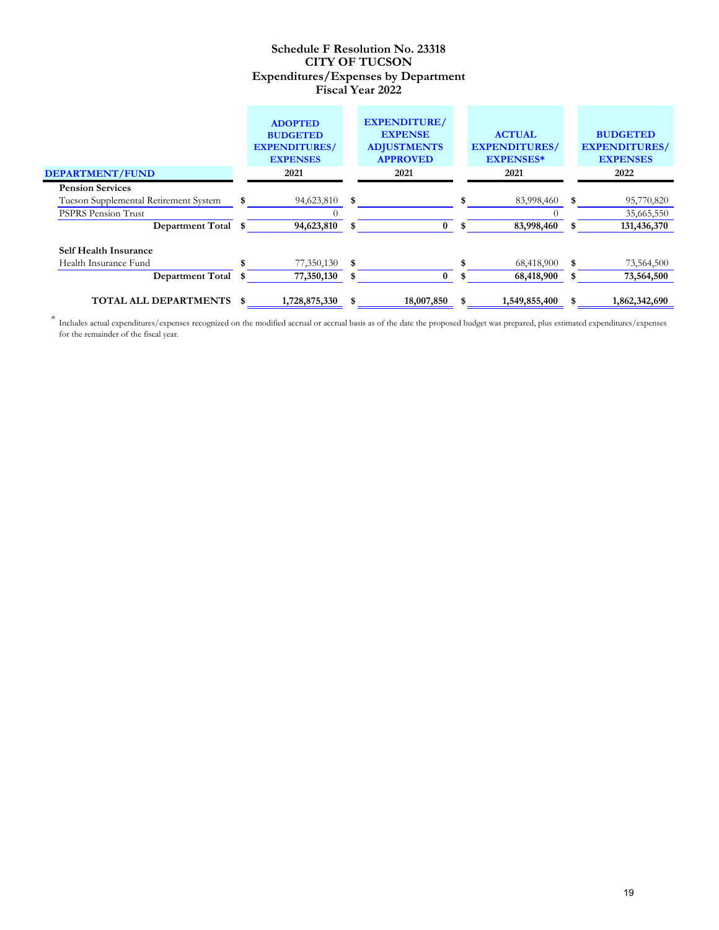|                                                       |   | <b>ADOPTED</b><br><b>BUDGETED</b><br><b>EXPENDITURES/</b><br><b>EXPENSES</b> | <b>EXPENDITURE/</b><br><b>EXPENSE</b><br><b>ADJUSTMENTS</b><br><b>APPROVED</b> |     | <b>ACTUAL</b><br><b>EXPENDITURES/</b><br><b>EXPENSES*</b> | <b>BUDGETED</b><br><b>EXPENDITURES/</b><br><b>EXPENSES</b> |
|-------------------------------------------------------|---|------------------------------------------------------------------------------|--------------------------------------------------------------------------------|-----|-----------------------------------------------------------|------------------------------------------------------------|
| <b>DEPARTMENT/FUND</b>                                |   | 2021                                                                         | 2021                                                                           |     | 2021                                                      | 2022                                                       |
| <b>Pension Services</b>                               |   |                                                                              |                                                                                |     |                                                           |                                                            |
| Tucson Supplemental Retirement System                 | S | 94,623,810                                                                   | \$                                                                             |     | 83,998,460                                                | \$<br>95,770,820                                           |
| <b>PSPRS Pension Trust</b>                            |   |                                                                              |                                                                                |     |                                                           | 35,665,550                                                 |
| Department Total \$                                   |   | 94,623,810                                                                   | $\bf{0}$                                                                       |     | 83,998,460                                                | 131,436,370                                                |
| <b>Self Health Insurance</b><br>Health Insurance Fund |   | 77,350,130                                                                   | \$                                                                             |     | 68,418,900                                                | \$<br>73,564,500                                           |
| <b>Department Total</b>                               |   | 77,350,130                                                                   | $\bf{0}$                                                                       |     | 68,418,900                                                | 73,564,500                                                 |
|                                                       |   |                                                                              |                                                                                |     |                                                           |                                                            |
| TOTAL ALL DEPARTMENTS \$                              |   | 1,728,875,330                                                                | 18,007,850                                                                     | \$. | 1,549,855,400                                             | 1,862,342,690                                              |